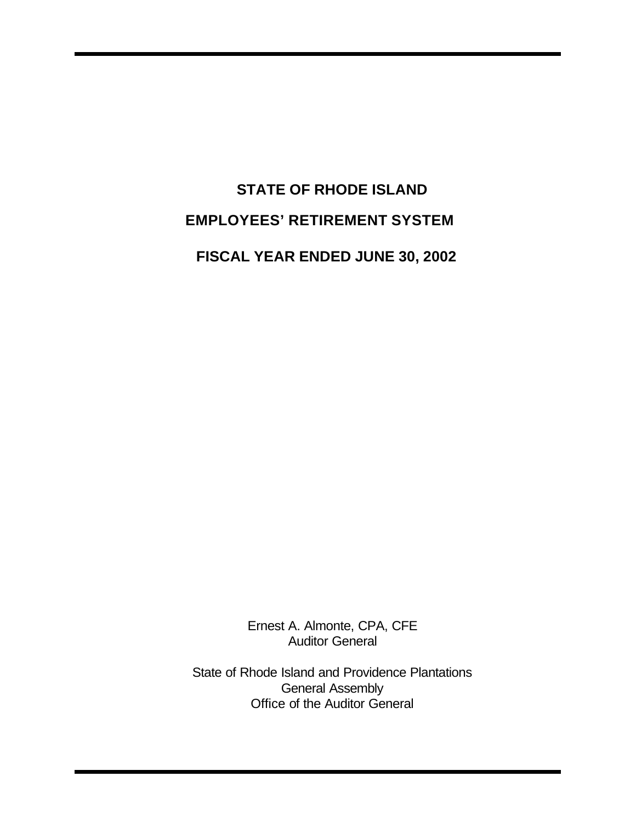# **STATE OF RHODE ISLAND EMPLOYEES' RETIREMENT SYSTEM FISCAL YEAR ENDED JUNE 30, 2002**

Ernest A. Almonte, CPA, CFE Auditor General

State of Rhode Island and Providence Plantations General Assembly Office of the Auditor General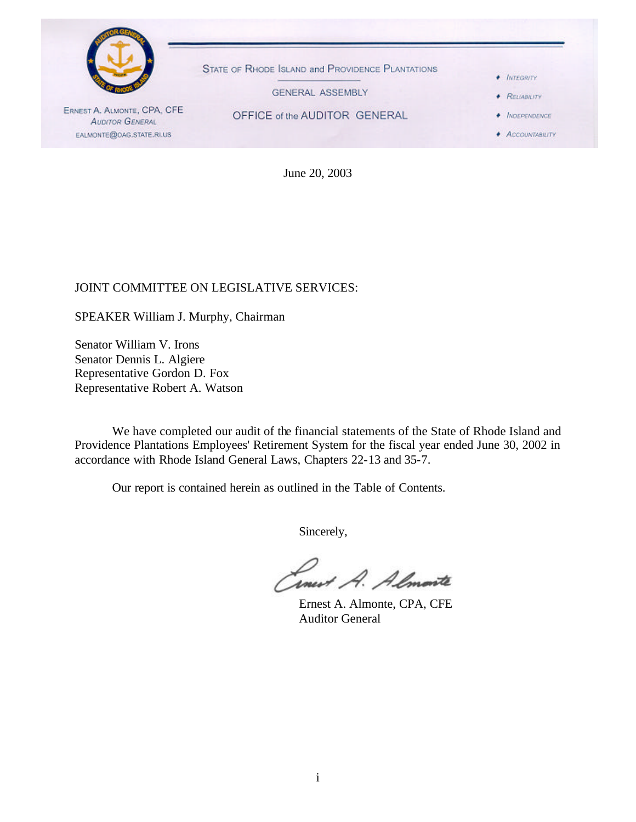

June 20, 2003

### JOINT COMMITTEE ON LEGISLATIVE SERVICES:

SPEAKER William J. Murphy, Chairman

Senator William V. Irons Senator Dennis L. Algiere Representative Gordon D. Fox Representative Robert A. Watson

We have completed our audit of the financial statements of the State of Rhode Island and Providence Plantations Employees' Retirement System for the fiscal year ended June 30, 2002 in accordance with Rhode Island General Laws, Chapters 22-13 and 35-7.

Our report is contained herein as outlined in the Table of Contents.

Sincerely,

Timest A. Almonte

Ernest A. Almonte, CPA, CFE Auditor General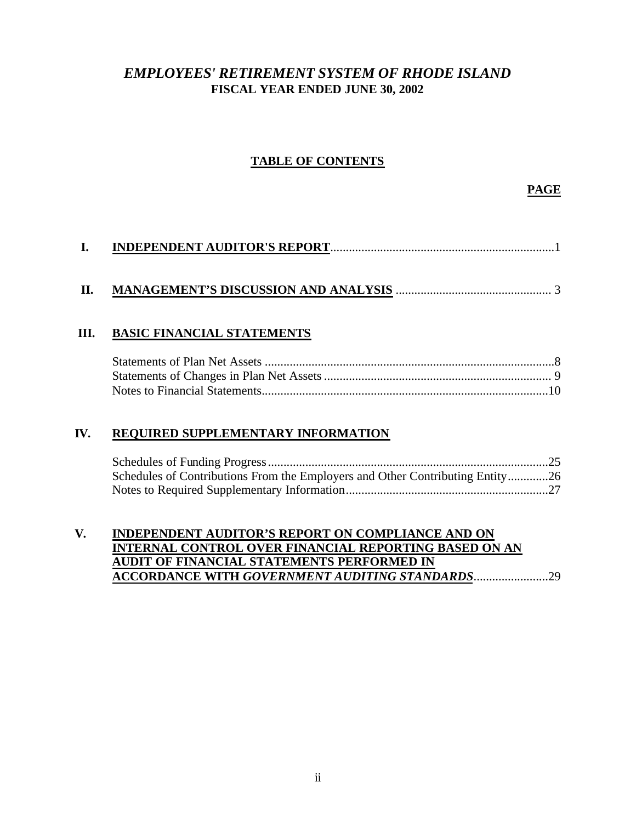# *EMPLOYEES' RETIREMENT SYSTEM OF RHODE ISLAND* **FISCAL YEAR ENDED JUNE 30, 2002**

### **TABLE OF CONTENTS**

**PAGE**

|--|--|--|

### **III. BASIC FINANCIAL STATEMENTS**

### **IV. REQUIRED SUPPLEMENTARY INFORMATION**

| Schedules of Contributions From the Employers and Other Contributing Entity26 |  |
|-------------------------------------------------------------------------------|--|
|                                                                               |  |

### **V. INDEPENDENT AUDITOR'S REPORT ON COMPLIANCE AND ON INTERNAL CONTROL OVER FINANCIAL REPORTING BASED ON AN AUDIT OF FINANCIAL STATEMENTS PERFORMED IN ACCORDANCE WITH** *GOVERNMENT AUDITING STANDARDS*........................29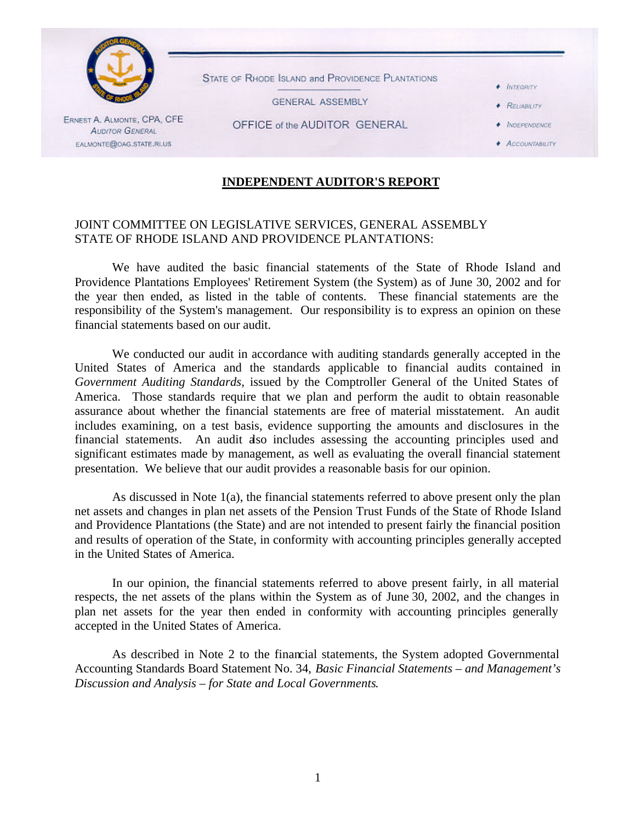

STATE OF RHODE ISLAND and PROVIDENCE PLANTATIONS

**GENERAL ASSEMBLY** 

+ INTEGRITY

**+ RELIABILITY**  $\bullet$  *INDEPENDENCE* 

ERNEST A. ALMONTE, CPA, CFE **AUDITOR GENERAL** EALMONTE@OAG.STATE.RI.US

OFFICE of the AUDITOR GENERAL

#### **ACCOUNTABLITY**

### **INDEPENDENT AUDITOR'S REPORT**

### JOINT COMMITTEE ON LEGISLATIVE SERVICES, GENERAL ASSEMBLY STATE OF RHODE ISLAND AND PROVIDENCE PLANTATIONS:

We have audited the basic financial statements of the State of Rhode Island and Providence Plantations Employees' Retirement System (the System) as of June 30, 2002 and for the year then ended, as listed in the table of contents. These financial statements are the responsibility of the System's management. Our responsibility is to express an opinion on these financial statements based on our audit.

We conducted our audit in accordance with auditing standards generally accepted in the United States of America and the standards applicable to financial audits contained in *Government Auditing Standards,* issued by the Comptroller General of the United States of America. Those standards require that we plan and perform the audit to obtain reasonable assurance about whether the financial statements are free of material misstatement. An audit includes examining, on a test basis, evidence supporting the amounts and disclosures in the financial statements. An audit also includes assessing the accounting principles used and significant estimates made by management, as well as evaluating the overall financial statement presentation. We believe that our audit provides a reasonable basis for our opinion.

As discussed in Note 1(a), the financial statements referred to above present only the plan net assets and changes in plan net assets of the Pension Trust Funds of the State of Rhode Island and Providence Plantations (the State) and are not intended to present fairly the financial position and results of operation of the State, in conformity with accounting principles generally accepted in the United States of America.

In our opinion, the financial statements referred to above present fairly, in all material respects, the net assets of the plans within the System as of June 30, 2002, and the changes in plan net assets for the year then ended in conformity with accounting principles generally accepted in the United States of America.

As described in Note 2 to the financial statements, the System adopted Governmental Accounting Standards Board Statement No. 34, *Basic Financial Statements – and Management's Discussion and Analysis – for State and Local Governments*.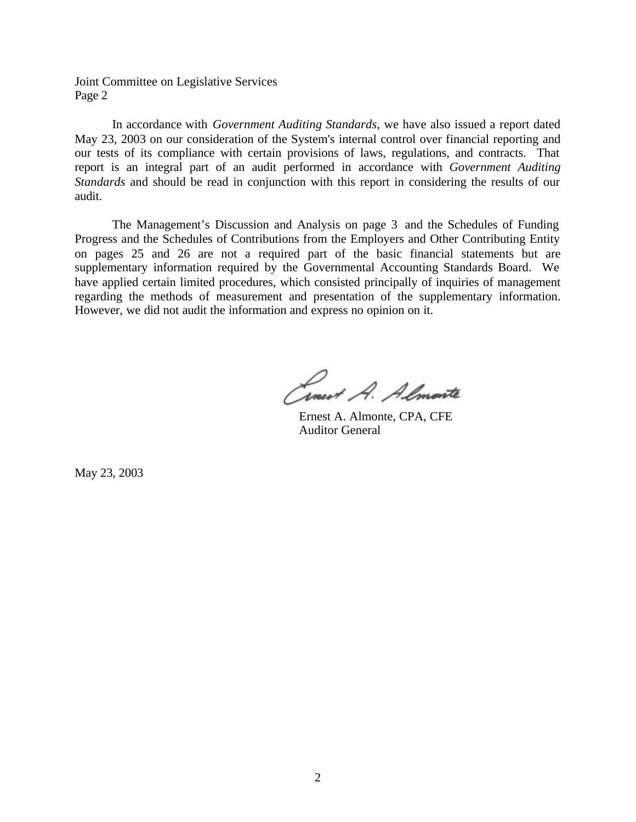Joint Committee on Legislative Services Page 2

In accordance with *Government Auditing Standards*, we have also issued a report dated May 23, 2003 on our consideration of the System's internal control over financial reporting and our tests of its compliance with certain provisions of laws, regulations, and contracts. That report is an integral part of an audit performed in accordance with *Government Auditing Standards* and should be read in conjunction with this report in considering the results of our audit.

The Management's Discussion and Analysis on page 3 and the Schedules of Funding Progress and the Schedules of Contributions from the Employers and Other Contributing Entity on pages 25 and 26 are not a required part of the basic financial statements but are supplementary information required by the Governmental Accounting Standards Board. We have applied certain limited procedures, which consisted principally of inquiries of management regarding the methods of measurement and presentation of the supplementary information. However, we did not audit the information and express no opinion on it.

Cinet A. Almonte

Ernest A. Almonte, CPA, CFE Auditor General

May 23, 2003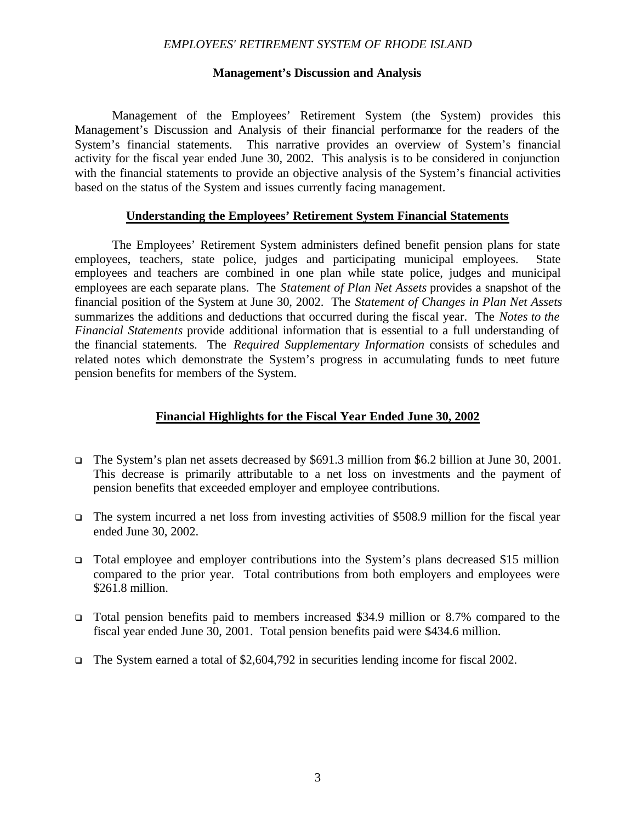#### **Management's Discussion and Analysis**

Management of the Employees' Retirement System (the System) provides this Management's Discussion and Analysis of their financial performance for the readers of the System's financial statements. This narrative provides an overview of System's financial activity for the fiscal year ended June 30, 2002. This analysis is to be considered in conjunction with the financial statements to provide an objective analysis of the System's financial activities based on the status of the System and issues currently facing management.

#### **Understanding the Employees' Retirement System Financial Statements**

The Employees' Retirement System administers defined benefit pension plans for state employees, teachers, state police, judges and participating municipal employees. State employees and teachers are combined in one plan while state police, judges and municipal employees are each separate plans. The *Statement of Plan Net Assets* provides a snapshot of the financial position of the System at June 30, 2002. The *Statement of Changes in Plan Net Assets* summarizes the additions and deductions that occurred during the fiscal year. The *Notes to the Financial Statements* provide additional information that is essential to a full understanding of the financial statements. The *Required Supplementary Information* consists of schedules and related notes which demonstrate the System's progress in accumulating funds to meet future pension benefits for members of the System.

### **Financial Highlights for the Fiscal Year Ended June 30, 2002**

- <sup>q</sup> The System's plan net assets decreased by \$691.3 million from \$6.2 billion at June 30, 2001. This decrease is primarily attributable to a net loss on investments and the payment of pension benefits that exceeded employer and employee contributions.
- $\Box$  The system incurred a net loss from investing activities of \$508.9 million for the fiscal year ended June 30, 2002.
- <sup>q</sup> Total employee and employer contributions into the System's plans decreased \$15 million compared to the prior year. Total contributions from both employers and employees were \$261.8 million.
- <sup>q</sup> Total pension benefits paid to members increased \$34.9 million or 8.7% compared to the fiscal year ended June 30, 2001. Total pension benefits paid were \$434.6 million.
- <sup>q</sup> The System earned a total of \$2,604,792 in securities lending income for fiscal 2002.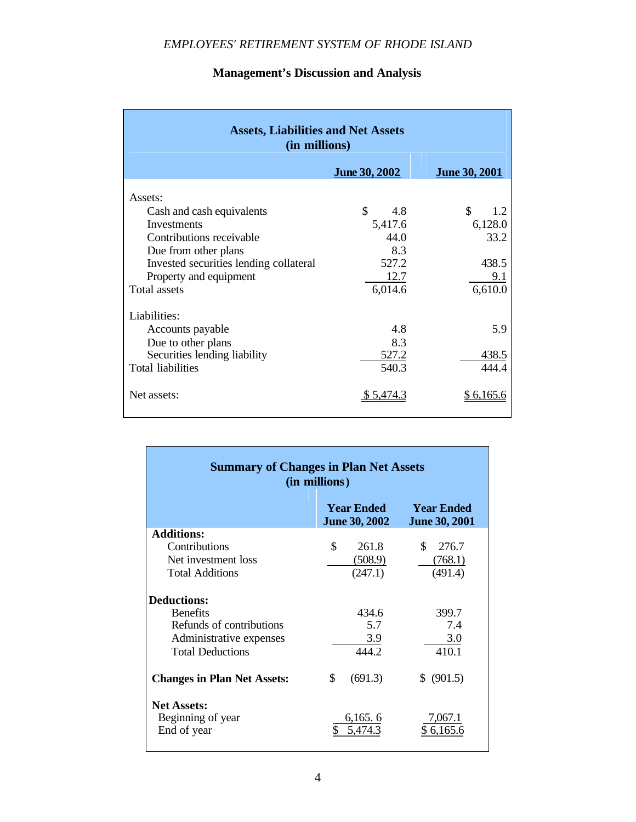| <b>Assets, Liabilities and Net Assets</b><br>(in millions) |                      |                      |  |  |  |
|------------------------------------------------------------|----------------------|----------------------|--|--|--|
|                                                            | June 30, 2002        | <b>June 30, 2001</b> |  |  |  |
| Assets:                                                    |                      |                      |  |  |  |
| Cash and cash equivalents                                  | $\mathcal{S}$<br>4.8 | \$<br>1.2            |  |  |  |
| Investments                                                | 5,417.6              | 6,128.0              |  |  |  |
| Contributions receivable                                   | 44.0                 | 33.2                 |  |  |  |
| Due from other plans                                       | 8.3                  |                      |  |  |  |
| Invested securities lending collateral                     | 527.2                | 438.5                |  |  |  |
| Property and equipment                                     | 12.7                 | 9.1                  |  |  |  |
| Total assets                                               | 6,014.6              | 6,610.0              |  |  |  |
| Liabilities:                                               |                      |                      |  |  |  |
| Accounts payable                                           | 4.8                  | 5.9                  |  |  |  |
| Due to other plans                                         | 8.3                  |                      |  |  |  |
| Securities lending liability                               | 527.2                | 438.5                |  |  |  |
| <b>Total liabilities</b>                                   | 540.3                | 444.4                |  |  |  |
| Net assets:                                                | 5.4/4.3              | 6,165.6              |  |  |  |

### **Management's Discussion and Analysis**

| <b>Summary of Changes in Plan Net Assets</b><br>(in millions) |                                           |                                           |  |  |  |
|---------------------------------------------------------------|-------------------------------------------|-------------------------------------------|--|--|--|
|                                                               | <b>Year Ended</b><br><b>June 30, 2002</b> | <b>Year Ended</b><br><b>June 30, 2001</b> |  |  |  |
| <b>Additions:</b>                                             |                                           |                                           |  |  |  |
| Contributions                                                 | \$<br>261.8                               | 276.7<br>S.                               |  |  |  |
| Net investment loss                                           | (508.9)                                   | (768.1)                                   |  |  |  |
| <b>Total Additions</b>                                        | (247.1)                                   | (491.4)                                   |  |  |  |
| <b>Deductions:</b>                                            |                                           |                                           |  |  |  |
| <b>Benefits</b>                                               | 434.6                                     | 399.7                                     |  |  |  |
| Refunds of contributions                                      | 5.7                                       | 7.4                                       |  |  |  |
| Administrative expenses                                       | 3.9                                       | 3.0                                       |  |  |  |
| <b>Total Deductions</b>                                       | 444.2                                     | 410.1                                     |  |  |  |
| <b>Changes in Plan Net Assets:</b>                            | \$<br>(691.3)                             | \$ (901.5)                                |  |  |  |
| <b>Net Assets:</b>                                            |                                           |                                           |  |  |  |
| Beginning of year                                             | 6,165.6                                   | 7,067.1                                   |  |  |  |
| End of year                                                   |                                           |                                           |  |  |  |

<u> 1980 - Johann Barn, mars ann an t-Amhain Aonaich an t-Aonaich an t-Aonaich an t-Aonaich an t-Aonaich an t-Aon</u>

Г

 $\sim 10^{11}$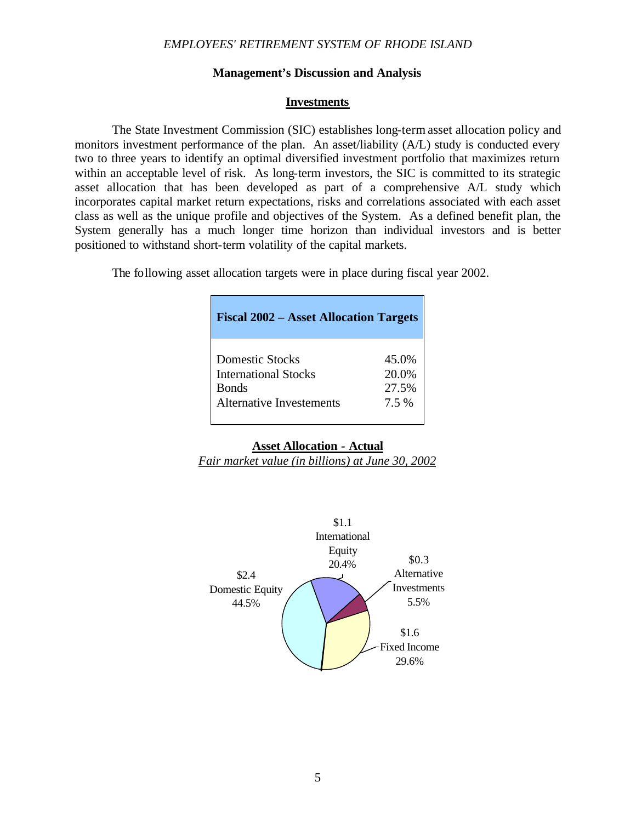#### **Management's Discussion and Analysis**

#### **Investments**

The State Investment Commission (SIC) establishes long-term asset allocation policy and monitors investment performance of the plan. An asset/liability (A/L) study is conducted every two to three years to identify an optimal diversified investment portfolio that maximizes return within an acceptable level of risk. As long-term investors, the SIC is committed to its strategic asset allocation that has been developed as part of a comprehensive A/L study which incorporates capital market return expectations, risks and correlations associated with each asset class as well as the unique profile and objectives of the System. As a defined benefit plan, the System generally has a much longer time horizon than individual investors and is better positioned to withstand short-term volatility of the capital markets.

The following asset allocation targets were in place during fiscal year 2002.

| <b>Fiscal 2002 – Asset Allocation Targets</b> |       |
|-----------------------------------------------|-------|
| <b>Domestic Stocks</b>                        | 45.0% |
| <b>International Stocks</b>                   | 20.0% |
| <b>Bonds</b>                                  | 27.5% |
| <b>Alternative Investements</b>               | 7.5 % |

#### **Asset Allocation - Actual**

*Fair market value (in billions) at June 30, 2002*

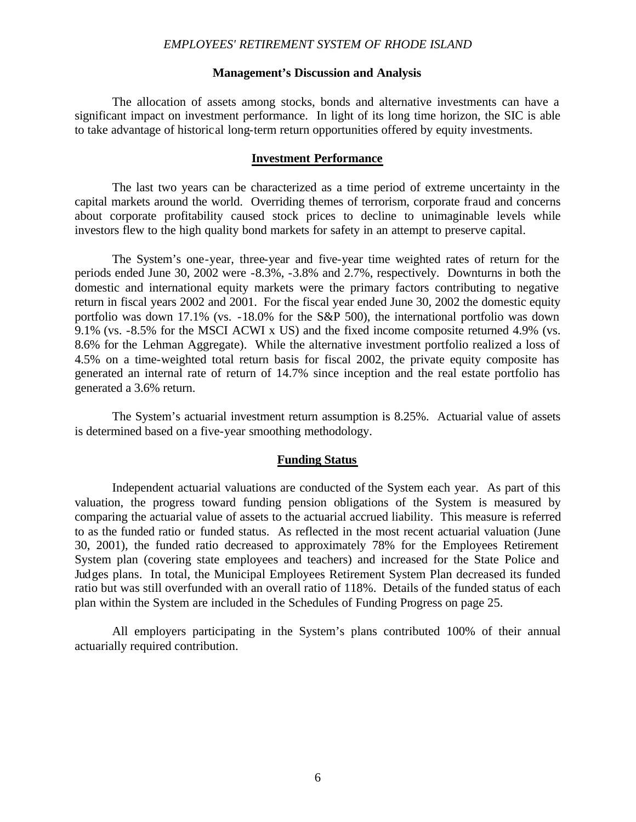#### **Management's Discussion and Analysis**

The allocation of assets among stocks, bonds and alternative investments can have a significant impact on investment performance. In light of its long time horizon, the SIC is able to take advantage of historical long-term return opportunities offered by equity investments.

#### **Investment Performance**

The last two years can be characterized as a time period of extreme uncertainty in the capital markets around the world. Overriding themes of terrorism, corporate fraud and concerns about corporate profitability caused stock prices to decline to unimaginable levels while investors flew to the high quality bond markets for safety in an attempt to preserve capital.

The System's one-year, three-year and five-year time weighted rates of return for the periods ended June 30, 2002 were -8.3%, -3.8% and 2.7%, respectively. Downturns in both the domestic and international equity markets were the primary factors contributing to negative return in fiscal years 2002 and 2001. For the fiscal year ended June 30, 2002 the domestic equity portfolio was down 17.1% (vs. -18.0% for the S&P 500), the international portfolio was down 9.1% (vs. -8.5% for the MSCI ACWI x US) and the fixed income composite returned 4.9% (vs. 8.6% for the Lehman Aggregate). While the alternative investment portfolio realized a loss of 4.5% on a time-weighted total return basis for fiscal 2002, the private equity composite has generated an internal rate of return of 14.7% since inception and the real estate portfolio has generated a 3.6% return.

The System's actuarial investment return assumption is 8.25%. Actuarial value of assets is determined based on a five-year smoothing methodology.

#### **Funding Status**

Independent actuarial valuations are conducted of the System each year. As part of this valuation, the progress toward funding pension obligations of the System is measured by comparing the actuarial value of assets to the actuarial accrued liability. This measure is referred to as the funded ratio or funded status. As reflected in the most recent actuarial valuation (June 30, 2001), the funded ratio decreased to approximately 78% for the Employees Retirement System plan (covering state employees and teachers) and increased for the State Police and Judges plans. In total, the Municipal Employees Retirement System Plan decreased its funded ratio but was still overfunded with an overall ratio of 118%. Details of the funded status of each plan within the System are included in the Schedules of Funding Progress on page 25.

All employers participating in the System's plans contributed 100% of their annual actuarially required contribution.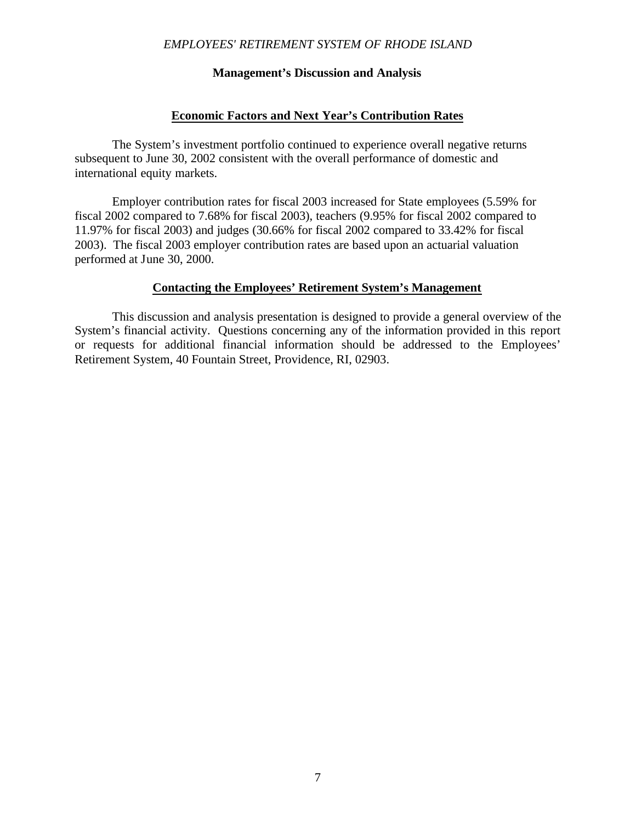#### **Management's Discussion and Analysis**

#### **Economic Factors and Next Year's Contribution Rates**

The System's investment portfolio continued to experience overall negative returns subsequent to June 30, 2002 consistent with the overall performance of domestic and international equity markets.

Employer contribution rates for fiscal 2003 increased for State employees (5.59% for fiscal 2002 compared to 7.68% for fiscal 2003), teachers (9.95% for fiscal 2002 compared to 11.97% for fiscal 2003) and judges (30.66% for fiscal 2002 compared to 33.42% for fiscal 2003). The fiscal 2003 employer contribution rates are based upon an actuarial valuation performed at June 30, 2000.

#### **Contacting the Employees' Retirement System's Management**

This discussion and analysis presentation is designed to provide a general overview of the System's financial activity. Questions concerning any of the information provided in this report or requests for additional financial information should be addressed to the Employees' Retirement System, 40 Fountain Street, Providence, RI, 02903.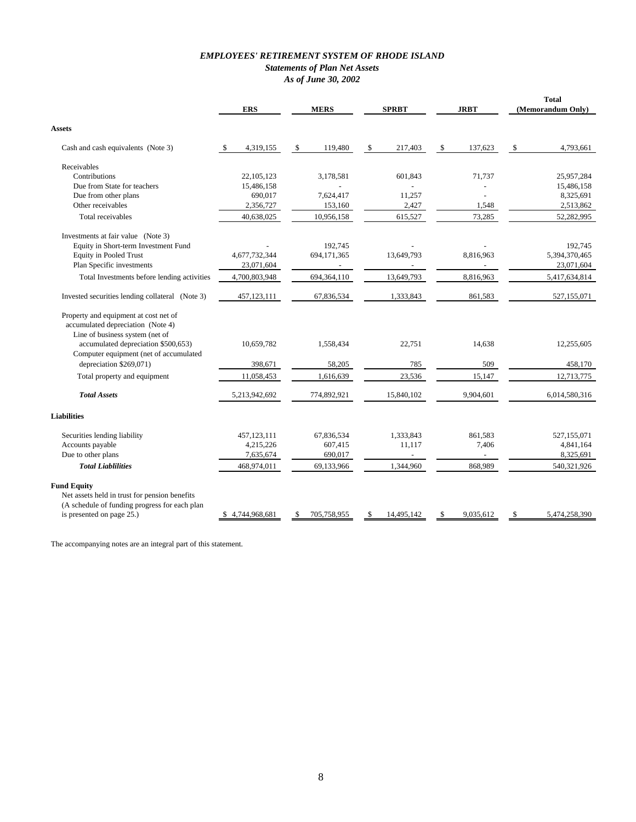#### *EMPLOYEES' RETIREMENT SYSTEM OF RHODE ISLAND Statements of Plan Net Assets As of June 30, 2002*

| \$<br>Cash and cash equivalents (Note 3)<br>\$<br>4,319,155<br>\$<br>119,480<br>\$<br>217,403<br>\$<br>137,623<br>4,793,661<br>Receivables<br>Contributions<br>22, 105, 123<br>3,178,581<br>25,957,284<br>601,843<br>71,737<br>Due from State for teachers<br>15,486,158<br>15,486,158<br>Due from other plans<br>690,017<br>7,624,417<br>11,257<br>8,325,691<br>Other receivables<br>2,427<br>1,548<br>2,513,862<br>2,356,727<br>153,160<br>615,527<br>73,285<br>Total receivables<br>40,638,025<br>10,956,158<br>52,282,995<br>Investments at fair value (Note 3)<br>Equity in Short-term Investment Fund<br>192,745<br>192,745<br><b>Equity in Pooled Trust</b><br>4,677,732,344<br>13,649,793<br>8,816,963<br>5,394,370,465<br>694,171,365<br>Plan Specific investments<br>23,071,604<br>23,071,604<br>Total Investments before lending activities<br>4,700,803,948<br>694,364,110<br>13,649,793<br>8,816,963<br>5,417,634,814<br>67,836,534<br>1,333,843<br>861,583<br>Invested securities lending collateral (Note 3)<br>457, 123, 111<br>527,155,071<br>Property and equipment at cost net of<br>accumulated depreciation (Note 4)<br>Line of business system (net of<br>accumulated depreciation \$500,653)<br>10,659,782<br>12,255,605<br>1,558,434<br>22,751<br>14,638<br>Computer equipment (net of accumulated<br>depreciation \$269,071)<br>398,671<br>58,205<br>785<br>509<br>458,170<br>Total property and equipment<br>11,058,453<br>1,616,639<br>23,536<br>15,147<br>12,713,775<br><b>Total Assets</b><br>5,213,942,692<br>774,892,921<br>15,840,102<br>9,904,601<br>6,014,580,316<br>Securities lending liability<br>457,123,111<br>67,836,534<br>1,333,843<br>861,583<br>527,155,071<br>4,841,164<br>Accounts payable<br>4,215,226<br>607,415<br>11,117<br>7,406<br>Due to other plans<br>7,635,674<br>690,017<br>8,325,691<br>$\overline{\phantom{a}}$<br>$\overline{\phantom{a}}$<br><b>Total Liablilities</b><br>868,989<br>468,974,011<br>69,133,966<br>1,344,960<br>540,321,926<br>Net assets held in trust for pension benefits<br>(A schedule of funding progress for each plan<br>is presented on page 25.)<br>14,495,142<br>9,035,612<br>5,474,258,390<br>4,744,968,681<br>705,758,955<br>\$<br>S<br>S |                    | <b>ERS</b> | <b>MERS</b> | <b>SPRBT</b> | <b>JRBT</b> | <b>Total</b><br>(Memorandum Only) |
|------------------------------------------------------------------------------------------------------------------------------------------------------------------------------------------------------------------------------------------------------------------------------------------------------------------------------------------------------------------------------------------------------------------------------------------------------------------------------------------------------------------------------------------------------------------------------------------------------------------------------------------------------------------------------------------------------------------------------------------------------------------------------------------------------------------------------------------------------------------------------------------------------------------------------------------------------------------------------------------------------------------------------------------------------------------------------------------------------------------------------------------------------------------------------------------------------------------------------------------------------------------------------------------------------------------------------------------------------------------------------------------------------------------------------------------------------------------------------------------------------------------------------------------------------------------------------------------------------------------------------------------------------------------------------------------------------------------------------------------------------------------------------------------------------------------------------------------------------------------------------------------------------------------------------------------------------------------------------------------------------------------------------------------------------------------------------------------------------------------------------------------------------------------------------------------------------------------------------------|--------------------|------------|-------------|--------------|-------------|-----------------------------------|
|                                                                                                                                                                                                                                                                                                                                                                                                                                                                                                                                                                                                                                                                                                                                                                                                                                                                                                                                                                                                                                                                                                                                                                                                                                                                                                                                                                                                                                                                                                                                                                                                                                                                                                                                                                                                                                                                                                                                                                                                                                                                                                                                                                                                                                    | Assets             |            |             |              |             |                                   |
|                                                                                                                                                                                                                                                                                                                                                                                                                                                                                                                                                                                                                                                                                                                                                                                                                                                                                                                                                                                                                                                                                                                                                                                                                                                                                                                                                                                                                                                                                                                                                                                                                                                                                                                                                                                                                                                                                                                                                                                                                                                                                                                                                                                                                                    |                    |            |             |              |             |                                   |
|                                                                                                                                                                                                                                                                                                                                                                                                                                                                                                                                                                                                                                                                                                                                                                                                                                                                                                                                                                                                                                                                                                                                                                                                                                                                                                                                                                                                                                                                                                                                                                                                                                                                                                                                                                                                                                                                                                                                                                                                                                                                                                                                                                                                                                    |                    |            |             |              |             |                                   |
|                                                                                                                                                                                                                                                                                                                                                                                                                                                                                                                                                                                                                                                                                                                                                                                                                                                                                                                                                                                                                                                                                                                                                                                                                                                                                                                                                                                                                                                                                                                                                                                                                                                                                                                                                                                                                                                                                                                                                                                                                                                                                                                                                                                                                                    |                    |            |             |              |             |                                   |
|                                                                                                                                                                                                                                                                                                                                                                                                                                                                                                                                                                                                                                                                                                                                                                                                                                                                                                                                                                                                                                                                                                                                                                                                                                                                                                                                                                                                                                                                                                                                                                                                                                                                                                                                                                                                                                                                                                                                                                                                                                                                                                                                                                                                                                    |                    |            |             |              |             |                                   |
|                                                                                                                                                                                                                                                                                                                                                                                                                                                                                                                                                                                                                                                                                                                                                                                                                                                                                                                                                                                                                                                                                                                                                                                                                                                                                                                                                                                                                                                                                                                                                                                                                                                                                                                                                                                                                                                                                                                                                                                                                                                                                                                                                                                                                                    |                    |            |             |              |             |                                   |
|                                                                                                                                                                                                                                                                                                                                                                                                                                                                                                                                                                                                                                                                                                                                                                                                                                                                                                                                                                                                                                                                                                                                                                                                                                                                                                                                                                                                                                                                                                                                                                                                                                                                                                                                                                                                                                                                                                                                                                                                                                                                                                                                                                                                                                    |                    |            |             |              |             |                                   |
|                                                                                                                                                                                                                                                                                                                                                                                                                                                                                                                                                                                                                                                                                                                                                                                                                                                                                                                                                                                                                                                                                                                                                                                                                                                                                                                                                                                                                                                                                                                                                                                                                                                                                                                                                                                                                                                                                                                                                                                                                                                                                                                                                                                                                                    |                    |            |             |              |             |                                   |
|                                                                                                                                                                                                                                                                                                                                                                                                                                                                                                                                                                                                                                                                                                                                                                                                                                                                                                                                                                                                                                                                                                                                                                                                                                                                                                                                                                                                                                                                                                                                                                                                                                                                                                                                                                                                                                                                                                                                                                                                                                                                                                                                                                                                                                    |                    |            |             |              |             |                                   |
|                                                                                                                                                                                                                                                                                                                                                                                                                                                                                                                                                                                                                                                                                                                                                                                                                                                                                                                                                                                                                                                                                                                                                                                                                                                                                                                                                                                                                                                                                                                                                                                                                                                                                                                                                                                                                                                                                                                                                                                                                                                                                                                                                                                                                                    |                    |            |             |              |             |                                   |
|                                                                                                                                                                                                                                                                                                                                                                                                                                                                                                                                                                                                                                                                                                                                                                                                                                                                                                                                                                                                                                                                                                                                                                                                                                                                                                                                                                                                                                                                                                                                                                                                                                                                                                                                                                                                                                                                                                                                                                                                                                                                                                                                                                                                                                    |                    |            |             |              |             |                                   |
|                                                                                                                                                                                                                                                                                                                                                                                                                                                                                                                                                                                                                                                                                                                                                                                                                                                                                                                                                                                                                                                                                                                                                                                                                                                                                                                                                                                                                                                                                                                                                                                                                                                                                                                                                                                                                                                                                                                                                                                                                                                                                                                                                                                                                                    |                    |            |             |              |             |                                   |
|                                                                                                                                                                                                                                                                                                                                                                                                                                                                                                                                                                                                                                                                                                                                                                                                                                                                                                                                                                                                                                                                                                                                                                                                                                                                                                                                                                                                                                                                                                                                                                                                                                                                                                                                                                                                                                                                                                                                                                                                                                                                                                                                                                                                                                    |                    |            |             |              |             |                                   |
|                                                                                                                                                                                                                                                                                                                                                                                                                                                                                                                                                                                                                                                                                                                                                                                                                                                                                                                                                                                                                                                                                                                                                                                                                                                                                                                                                                                                                                                                                                                                                                                                                                                                                                                                                                                                                                                                                                                                                                                                                                                                                                                                                                                                                                    |                    |            |             |              |             |                                   |
|                                                                                                                                                                                                                                                                                                                                                                                                                                                                                                                                                                                                                                                                                                                                                                                                                                                                                                                                                                                                                                                                                                                                                                                                                                                                                                                                                                                                                                                                                                                                                                                                                                                                                                                                                                                                                                                                                                                                                                                                                                                                                                                                                                                                                                    |                    |            |             |              |             |                                   |
|                                                                                                                                                                                                                                                                                                                                                                                                                                                                                                                                                                                                                                                                                                                                                                                                                                                                                                                                                                                                                                                                                                                                                                                                                                                                                                                                                                                                                                                                                                                                                                                                                                                                                                                                                                                                                                                                                                                                                                                                                                                                                                                                                                                                                                    |                    |            |             |              |             |                                   |
|                                                                                                                                                                                                                                                                                                                                                                                                                                                                                                                                                                                                                                                                                                                                                                                                                                                                                                                                                                                                                                                                                                                                                                                                                                                                                                                                                                                                                                                                                                                                                                                                                                                                                                                                                                                                                                                                                                                                                                                                                                                                                                                                                                                                                                    | <b>Liabilities</b> |            |             |              |             |                                   |
|                                                                                                                                                                                                                                                                                                                                                                                                                                                                                                                                                                                                                                                                                                                                                                                                                                                                                                                                                                                                                                                                                                                                                                                                                                                                                                                                                                                                                                                                                                                                                                                                                                                                                                                                                                                                                                                                                                                                                                                                                                                                                                                                                                                                                                    |                    |            |             |              |             |                                   |
|                                                                                                                                                                                                                                                                                                                                                                                                                                                                                                                                                                                                                                                                                                                                                                                                                                                                                                                                                                                                                                                                                                                                                                                                                                                                                                                                                                                                                                                                                                                                                                                                                                                                                                                                                                                                                                                                                                                                                                                                                                                                                                                                                                                                                                    |                    |            |             |              |             |                                   |
|                                                                                                                                                                                                                                                                                                                                                                                                                                                                                                                                                                                                                                                                                                                                                                                                                                                                                                                                                                                                                                                                                                                                                                                                                                                                                                                                                                                                                                                                                                                                                                                                                                                                                                                                                                                                                                                                                                                                                                                                                                                                                                                                                                                                                                    |                    |            |             |              |             |                                   |
|                                                                                                                                                                                                                                                                                                                                                                                                                                                                                                                                                                                                                                                                                                                                                                                                                                                                                                                                                                                                                                                                                                                                                                                                                                                                                                                                                                                                                                                                                                                                                                                                                                                                                                                                                                                                                                                                                                                                                                                                                                                                                                                                                                                                                                    |                    |            |             |              |             |                                   |
|                                                                                                                                                                                                                                                                                                                                                                                                                                                                                                                                                                                                                                                                                                                                                                                                                                                                                                                                                                                                                                                                                                                                                                                                                                                                                                                                                                                                                                                                                                                                                                                                                                                                                                                                                                                                                                                                                                                                                                                                                                                                                                                                                                                                                                    | <b>Fund Equity</b> |            |             |              |             |                                   |
|                                                                                                                                                                                                                                                                                                                                                                                                                                                                                                                                                                                                                                                                                                                                                                                                                                                                                                                                                                                                                                                                                                                                                                                                                                                                                                                                                                                                                                                                                                                                                                                                                                                                                                                                                                                                                                                                                                                                                                                                                                                                                                                                                                                                                                    |                    |            |             |              |             |                                   |

The accompanying notes are an integral part of this statement.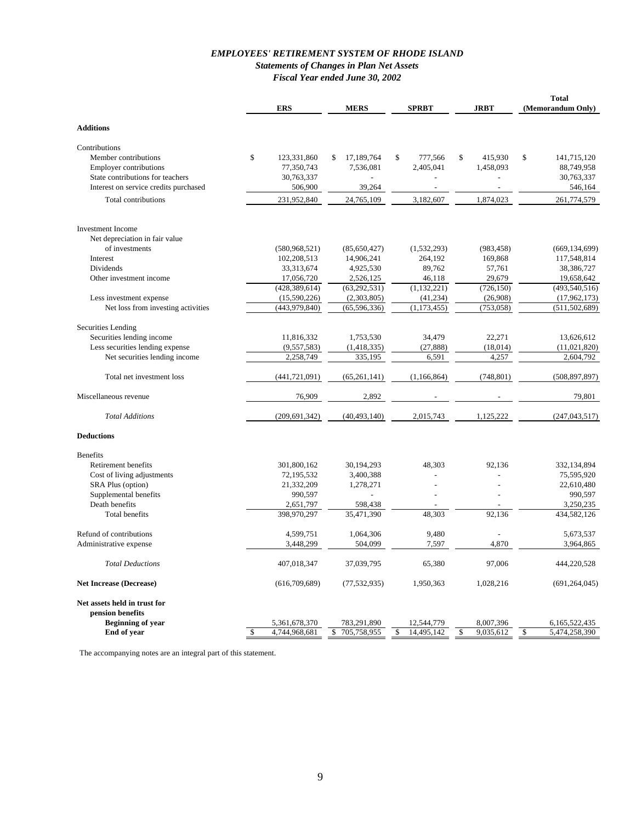#### *EMPLOYEES' RETIREMENT SYSTEM OF RHODE ISLAND Statements of Changes in Plan Net Assets Fiscal Year ended June 30, 2002*

|                                         | <b>ERS</b>                           | <b>MERS</b>                      | <b>SPRBT</b>                   | <b>JRBT</b>                  | <b>Total</b><br>(Memorandum Only)    |
|-----------------------------------------|--------------------------------------|----------------------------------|--------------------------------|------------------------------|--------------------------------------|
| <b>Additions</b>                        |                                      |                                  |                                |                              |                                      |
|                                         |                                      |                                  |                                |                              |                                      |
| Contributions<br>Member contributions   | \$<br>123,331,860                    | 17,189,764<br>\$                 | \$<br>777,566                  | 415,930<br>\$                | \$<br>141,715,120                    |
| <b>Employer contributions</b>           | 77,350,743                           | 7,536,081                        | 2,405,041                      | 1,458,093                    | 88,749,958                           |
| State contributions for teachers        | 30,763,337                           |                                  |                                |                              | 30,763,337                           |
| Interest on service credits purchased   | 506,900                              | 39,264                           |                                |                              | 546,164                              |
| Total contributions                     | 231,952,840                          | 24,765,109                       | 3,182,607                      | 1,874,023                    | 261,774,579                          |
|                                         |                                      |                                  |                                |                              |                                      |
| <b>Investment Income</b>                |                                      |                                  |                                |                              |                                      |
| Net depreciation in fair value          |                                      |                                  |                                |                              |                                      |
| of investments                          | (580, 968, 521)                      | (85,650,427)                     | (1,532,293)                    | (983, 458)                   | (669, 134, 699)                      |
| Interest<br>Dividends                   | 102,208,513                          | 14,906,241                       | 264,192<br>89,762              | 169,868<br>57,761            | 117,548,814<br>38,386,727            |
| Other investment income                 | 33, 313, 674<br>17,056,720           | 4,925,530<br>2,526,125           | 46,118                         | 29,679                       | 19,658,642                           |
|                                         | (428, 389, 614)                      | (63, 292, 531)                   | (1, 132, 221)                  | (726, 150)                   | (493, 540, 516)                      |
| Less investment expense                 | (15,590,226)                         | (2,303,805)                      | (41, 234)                      | (26,908)                     | (17, 962, 173)                       |
| Net loss from investing activities      | (443, 979, 840)                      | (65, 596, 336)                   | (1, 173, 455)                  | (753, 058)                   | (511, 502, 689)                      |
|                                         |                                      |                                  |                                |                              |                                      |
| Securities Lending                      |                                      |                                  |                                |                              |                                      |
| Securities lending income               | 11,816,332                           | 1,753,530                        | 34,479                         | 22,271                       | 13,626,612                           |
| Less securities lending expense         | (9,557,583)                          | (1, 418, 335)                    | (27, 888)                      | (18, 014)                    | (11,021,820)                         |
| Net securities lending income           | 2,258,749                            | 335,195                          | 6,591                          | 4,257                        | 2,604,792                            |
| Total net investment loss               | (441, 721, 091)                      | (65,261,141)                     | (1, 166, 864)                  | (748, 801)                   | (508, 897, 897)                      |
| Miscellaneous revenue                   | 76,909                               | 2,892                            |                                |                              | 79,801                               |
| <b>Total Additions</b>                  | (209, 691, 342)                      | (40, 493, 140)                   | 2,015,743                      | 1,125,222                    | (247, 043, 517)                      |
| <b>Deductions</b>                       |                                      |                                  |                                |                              |                                      |
| <b>Benefits</b>                         |                                      |                                  |                                |                              |                                      |
| Retirement benefits                     | 301,800,162                          | 30, 194, 293                     | 48,303                         | 92,136                       | 332,134,894                          |
| Cost of living adjustments              | 72,195,532                           | 3,400,388                        |                                |                              | 75,595,920                           |
| SRA Plus (option)                       | 21,332,209                           | 1,278,271                        |                                |                              | 22,610,480                           |
| Supplemental benefits                   | 990,597                              | $\overline{a}$                   |                                |                              | 990,597                              |
| Death benefits                          | 2,651,797                            | 598,438                          |                                |                              | 3,250,235                            |
| <b>Total benefits</b>                   | 398,970,297                          | 35,471,390                       | 48,303                         | 92,136                       | 434,582,126                          |
| Refund of contributions                 | 4,599,751                            | 1,064,306                        | 9,480                          |                              | 5.673.537                            |
| Administrative expense                  | 3,448,299                            | 504,099                          | 7,597                          | 4,870                        | 3,964,865                            |
| <b>Total Deductions</b>                 | 407,018,347                          | 37,039,795                       | 65,380                         | 97,006                       | 444,220,528                          |
| <b>Net Increase (Decrease)</b>          | (616, 709, 689)                      | (77, 532, 935)                   | 1,950,363                      | 1,028,216                    | (691, 264, 045)                      |
| Net assets held in trust for            |                                      |                                  |                                |                              |                                      |
| pension benefits                        |                                      |                                  |                                |                              |                                      |
| <b>Beginning of year</b><br>End of year | \$<br>5,361,678,370<br>4,744,968,681 | 783,291,890<br>705,758,955<br>\$ | 12,544,779<br>14,495,142<br>\$ | 8,007,396<br>\$<br>9,035,612 | 6,165,522,435<br>\$<br>5,474,258,390 |
|                                         |                                      |                                  |                                |                              |                                      |

The accompanying notes are an integral part of this statement.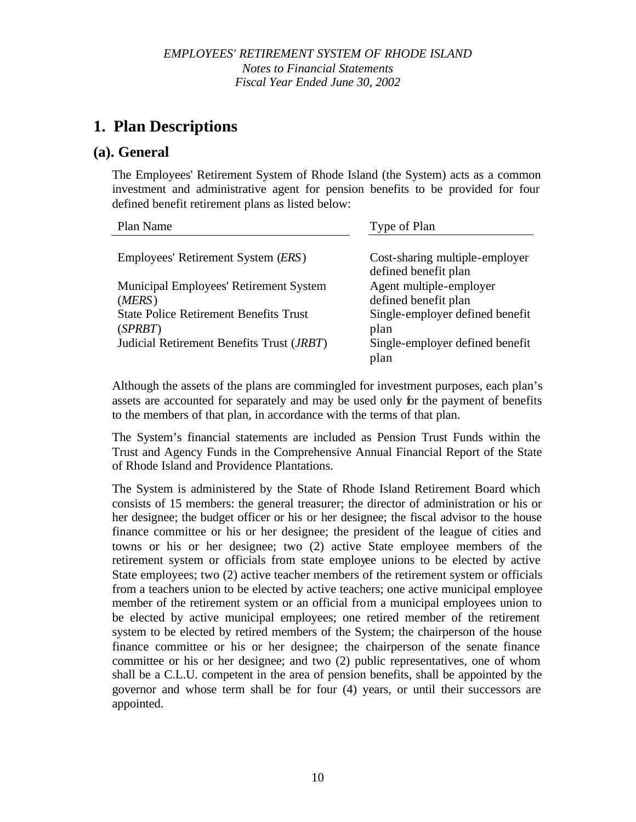### **(a). General**

The Employees' Retirement System of Rhode Island (the System) acts as a common investment and administrative agent for pension benefits to be provided for four defined benefit retirement plans as listed below:

| Plan Name                                          | Type of Plan                    |
|----------------------------------------------------|---------------------------------|
|                                                    |                                 |
| Employees' Retirement System (ERS)                 | Cost-sharing multiple-employer  |
|                                                    | defined benefit plan            |
| <b>Municipal Employees' Retirement System</b>      | Agent multiple-employer         |
| (MERS)                                             | defined benefit plan            |
| <b>State Police Retirement Benefits Trust</b>      | Single-employer defined benefit |
| (SPRBT)                                            | plan                            |
| Judicial Retirement Benefits Trust ( <i>JRBT</i> ) | Single-employer defined benefit |
|                                                    | plan                            |

Although the assets of the plans are commingled for investment purposes, each plan's assets are accounted for separately and may be used only for the payment of benefits to the members of that plan, in accordance with the terms of that plan.

The System's financial statements are included as Pension Trust Funds within the Trust and Agency Funds in the Comprehensive Annual Financial Report of the State of Rhode Island and Providence Plantations.

The System is administered by the State of Rhode Island Retirement Board which consists of 15 members: the general treasurer; the director of administration or his or her designee; the budget officer or his or her designee; the fiscal advisor to the house finance committee or his or her designee; the president of the league of cities and towns or his or her designee; two (2) active State employee members of the retirement system or officials from state employee unions to be elected by active State employees; two (2) active teacher members of the retirement system or officials from a teachers union to be elected by active teachers; one active municipal employee member of the retirement system or an official from a municipal employees union to be elected by active municipal employees; one retired member of the retirement system to be elected by retired members of the System; the chairperson of the house finance committee or his or her designee; the chairperson of the senate finance committee or his or her designee; and two (2) public representatives, one of whom shall be a C.L.U. competent in the area of pension benefits, shall be appointed by the governor and whose term shall be for four (4) years, or until their successors are appointed.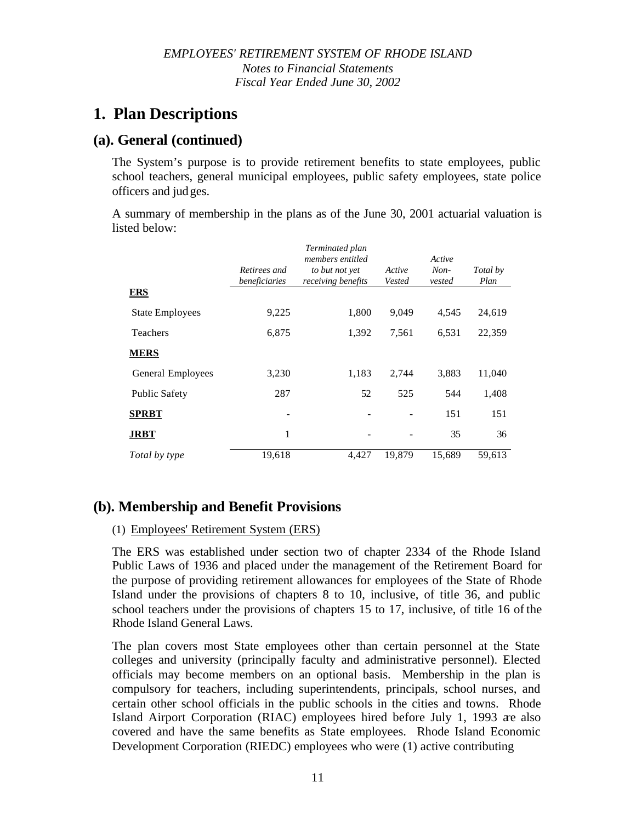### **(a). General (continued)**

The System's purpose is to provide retirement benefits to state employees, public school teachers, general municipal employees, public safety employees, state police officers and judges.

A summary of membership in the plans as of the June 30, 2001 actuarial valuation is listed below:

|                        |                               | Terminated plan<br>members entitled  |                  | Active         |                  |
|------------------------|-------------------------------|--------------------------------------|------------------|----------------|------------------|
|                        | Retirees and<br>beneficiaries | to but not yet<br>receiving benefits | Active<br>Vested | Non-<br>vested | Total by<br>Plan |
| ERS                    |                               |                                      |                  |                |                  |
| <b>State Employees</b> | 9,225                         | 1,800                                | 9,049            | 4,545          | 24,619           |
| Teachers               | 6,875                         | 1,392                                | 7,561            | 6,531          | 22,359           |
| <b>MERS</b>            |                               |                                      |                  |                |                  |
| General Employees      | 3,230                         | 1,183                                | 2,744            | 3,883          | 11,040           |
| <b>Public Safety</b>   | 287                           | 52                                   | 525              | 544            | 1,408            |
| <b>SPRBT</b>           |                               |                                      |                  | 151            | 151              |
| JRBT                   | 1                             |                                      |                  | 35             | 36               |
| Total by type          | 19,618                        | 4.427                                | 19,879           | 15,689         | 59,613           |

# **(b). Membership and Benefit Provisions**

### (1) Employees' Retirement System (ERS)

The ERS was established under section two of chapter 2334 of the Rhode Island Public Laws of 1936 and placed under the management of the Retirement Board for the purpose of providing retirement allowances for employees of the State of Rhode Island under the provisions of chapters 8 to 10, inclusive, of title 36, and public school teachers under the provisions of chapters 15 to 17, inclusive, of title 16 of the Rhode Island General Laws.

The plan covers most State employees other than certain personnel at the State colleges and university (principally faculty and administrative personnel). Elected officials may become members on an optional basis. Membership in the plan is compulsory for teachers, including superintendents, principals, school nurses, and certain other school officials in the public schools in the cities and towns. Rhode Island Airport Corporation (RIAC) employees hired before July 1, 1993 are also covered and have the same benefits as State employees. Rhode Island Economic Development Corporation (RIEDC) employees who were (1) active contributing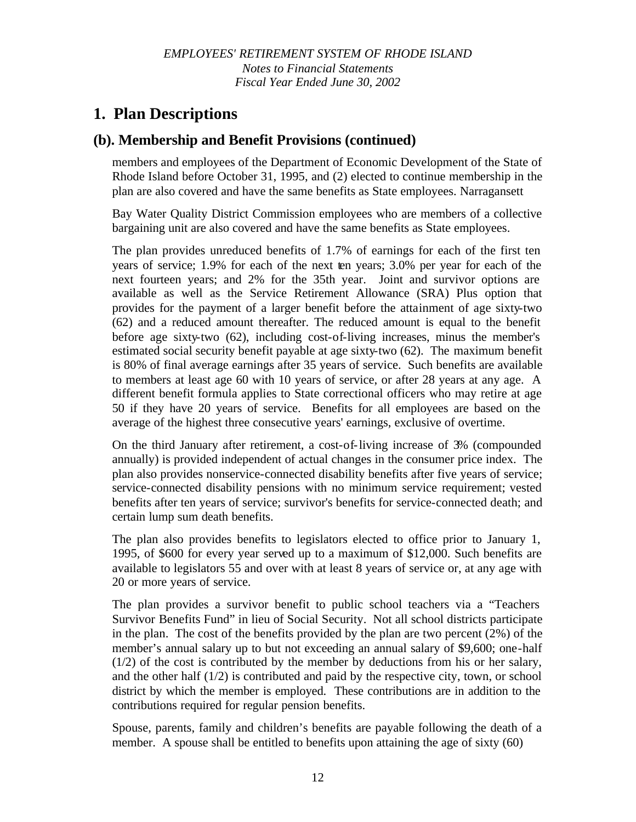### **(b). Membership and Benefit Provisions (continued)**

members and employees of the Department of Economic Development of the State of Rhode Island before October 31, 1995, and (2) elected to continue membership in the plan are also covered and have the same benefits as State employees. Narragansett

Bay Water Quality District Commission employees who are members of a collective bargaining unit are also covered and have the same benefits as State employees.

The plan provides unreduced benefits of 1.7% of earnings for each of the first ten years of service; 1.9% for each of the next ten years; 3.0% per year for each of the next fourteen years; and 2% for the 35th year. Joint and survivor options are available as well as the Service Retirement Allowance (SRA) Plus option that provides for the payment of a larger benefit before the attainment of age sixty-two (62) and a reduced amount thereafter. The reduced amount is equal to the benefit before age sixty-two (62), including cost-of-living increases, minus the member's estimated social security benefit payable at age sixty-two (62). The maximum benefit is 80% of final average earnings after 35 years of service. Such benefits are available to members at least age 60 with 10 years of service, or after 28 years at any age. A different benefit formula applies to State correctional officers who may retire at age 50 if they have 20 years of service. Benefits for all employees are based on the average of the highest three consecutive years' earnings, exclusive of overtime.

On the third January after retirement, a cost-of-living increase of 3% (compounded annually) is provided independent of actual changes in the consumer price index. The plan also provides nonservice-connected disability benefits after five years of service; service-connected disability pensions with no minimum service requirement; vested benefits after ten years of service; survivor's benefits for service-connected death; and certain lump sum death benefits.

The plan also provides benefits to legislators elected to office prior to January 1, 1995, of \$600 for every year served up to a maximum of \$12,000. Such benefits are available to legislators 55 and over with at least 8 years of service or, at any age with 20 or more years of service.

The plan provides a survivor benefit to public school teachers via a "Teachers Survivor Benefits Fund" in lieu of Social Security. Not all school districts participate in the plan. The cost of the benefits provided by the plan are two percent (2%) of the member's annual salary up to but not exceeding an annual salary of \$9,600; one-half (1/2) of the cost is contributed by the member by deductions from his or her salary, and the other half (1/2) is contributed and paid by the respective city, town, or school district by which the member is employed. These contributions are in addition to the contributions required for regular pension benefits.

Spouse, parents, family and children's benefits are payable following the death of a member. A spouse shall be entitled to benefits upon attaining the age of sixty (60)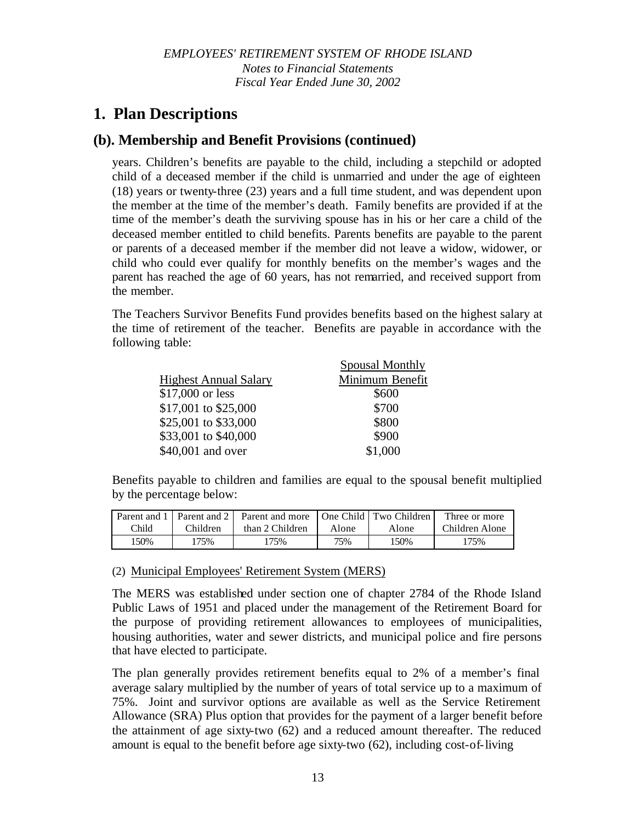### **(b). Membership and Benefit Provisions (continued)**

years. Children's benefits are payable to the child, including a stepchild or adopted child of a deceased member if the child is unmarried and under the age of eighteen (18) years or twenty-three (23) years and a full time student, and was dependent upon the member at the time of the member's death. Family benefits are provided if at the time of the member's death the surviving spouse has in his or her care a child of the deceased member entitled to child benefits. Parents benefits are payable to the parent or parents of a deceased member if the member did not leave a widow, widower, or child who could ever qualify for monthly benefits on the member's wages and the parent has reached the age of 60 years, has not remarried, and received support from the member.

The Teachers Survivor Benefits Fund provides benefits based on the highest salary at the time of retirement of the teacher. Benefits are payable in accordance with the following table:

|                              | Spousal Monthly |
|------------------------------|-----------------|
| <b>Highest Annual Salary</b> | Minimum Benefit |
| \$17,000 or less             | \$600           |
| \$17,001 to \$25,000         | \$700           |
| \$25,001 to \$33,000         | \$800           |
| \$33,001 to \$40,000         | \$900           |
| \$40,001 and over            | \$1,000         |

Benefits payable to children and families are equal to the spousal benefit multiplied by the percentage below:

|       |          | Parent and 1   Parent and 2   Parent and more   One Child   Two Children |       |       | Three or more  |
|-------|----------|--------------------------------------------------------------------------|-------|-------|----------------|
| Child | Children | than 2 Children                                                          | Alone | Alone | Children Alone |
| 150%  | 75%      | 175%                                                                     | 75%   | 150%  | 175%           |

### (2) Municipal Employees' Retirement System (MERS)

The MERS was established under section one of chapter 2784 of the Rhode Island Public Laws of 1951 and placed under the management of the Retirement Board for the purpose of providing retirement allowances to employees of municipalities, housing authorities, water and sewer districts, and municipal police and fire persons that have elected to participate.

The plan generally provides retirement benefits equal to 2% of a member's final average salary multiplied by the number of years of total service up to a maximum of 75%. Joint and survivor options are available as well as the Service Retirement Allowance (SRA) Plus option that provides for the payment of a larger benefit before the attainment of age sixty-two (62) and a reduced amount thereafter. The reduced amount is equal to the benefit before age sixty-two (62), including cost-of-living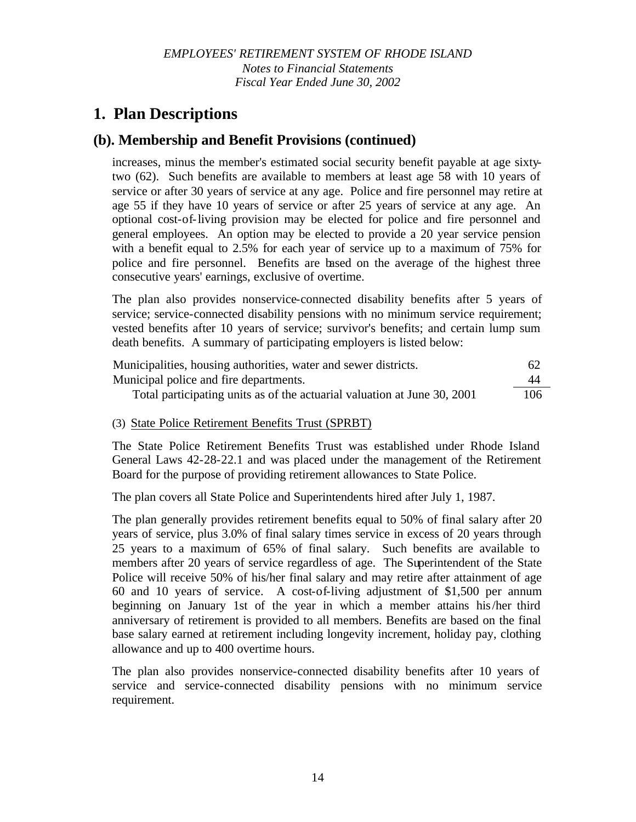# **(b). Membership and Benefit Provisions (continued)**

increases, minus the member's estimated social security benefit payable at age sixtytwo (62). Such benefits are available to members at least age 58 with 10 years of service or after 30 years of service at any age. Police and fire personnel may retire at age 55 if they have 10 years of service or after 25 years of service at any age. An optional cost-of-living provision may be elected for police and fire personnel and general employees. An option may be elected to provide a 20 year service pension with a benefit equal to 2.5% for each year of service up to a maximum of 75% for police and fire personnel. Benefits are based on the average of the highest three consecutive years' earnings, exclusive of overtime.

The plan also provides nonservice-connected disability benefits after 5 years of service; service-connected disability pensions with no minimum service requirement; vested benefits after 10 years of service; survivor's benefits; and certain lump sum death benefits. A summary of participating employers is listed below:

| Municipalities, housing authorities, water and sewer districts.          | 62  |
|--------------------------------------------------------------------------|-----|
| Municipal police and fire departments.                                   | 44  |
| Total participating units as of the actuarial valuation at June 30, 2001 | 106 |

### (3) State Police Retirement Benefits Trust (SPRBT)

The State Police Retirement Benefits Trust was established under Rhode Island General Laws 42-28-22.1 and was placed under the management of the Retirement Board for the purpose of providing retirement allowances to State Police.

The plan covers all State Police and Superintendents hired after July 1, 1987.

The plan generally provides retirement benefits equal to 50% of final salary after 20 years of service, plus 3.0% of final salary times service in excess of 20 years through 25 years to a maximum of 65% of final salary. Such benefits are available to members after 20 years of service regardless of age. The Superintendent of the State Police will receive 50% of his/her final salary and may retire after attainment of age 60 and 10 years of service. A cost-of-living adjustment of \$1,500 per annum beginning on January 1st of the year in which a member attains his/her third anniversary of retirement is provided to all members. Benefits are based on the final base salary earned at retirement including longevity increment, holiday pay, clothing allowance and up to 400 overtime hours.

The plan also provides nonservice-connected disability benefits after 10 years of service and service-connected disability pensions with no minimum service requirement.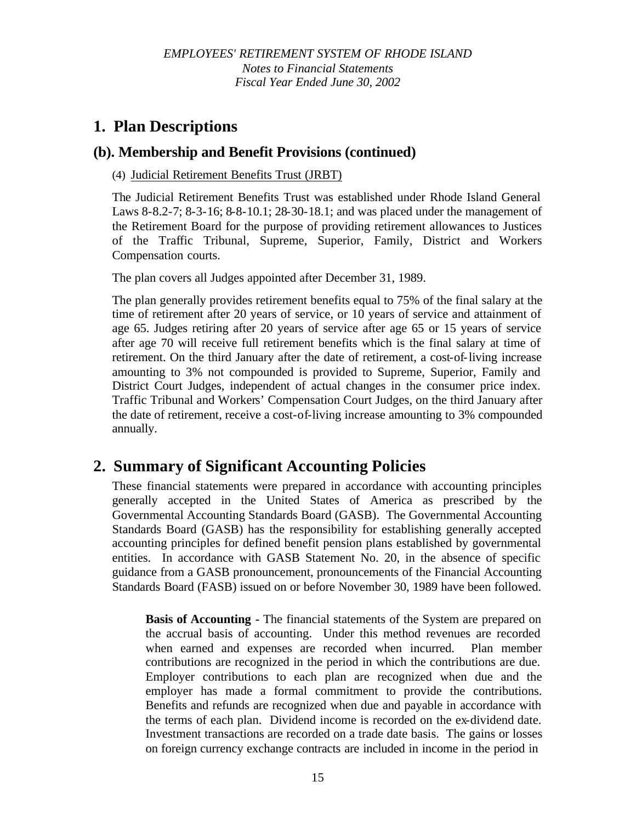# **(b). Membership and Benefit Provisions (continued)**

### (4) Judicial Retirement Benefits Trust (JRBT)

The Judicial Retirement Benefits Trust was established under Rhode Island General Laws 8-8.2-7; 8-3-16; 8-8-10.1; 28-30-18.1; and was placed under the management of the Retirement Board for the purpose of providing retirement allowances to Justices of the Traffic Tribunal, Supreme, Superior, Family, District and Workers Compensation courts.

The plan covers all Judges appointed after December 31, 1989.

The plan generally provides retirement benefits equal to 75% of the final salary at the time of retirement after 20 years of service, or 10 years of service and attainment of age 65. Judges retiring after 20 years of service after age 65 or 15 years of service after age 70 will receive full retirement benefits which is the final salary at time of retirement. On the third January after the date of retirement, a cost-of-living increase amounting to 3% not compounded is provided to Supreme, Superior, Family and District Court Judges, independent of actual changes in the consumer price index. Traffic Tribunal and Workers' Compensation Court Judges, on the third January after the date of retirement, receive a cost-of-living increase amounting to 3% compounded annually.

# **2. Summary of Significant Accounting Policies**

These financial statements were prepared in accordance with accounting principles generally accepted in the United States of America as prescribed by the Governmental Accounting Standards Board (GASB). The Governmental Accounting Standards Board (GASB) has the responsibility for establishing generally accepted accounting principles for defined benefit pension plans established by governmental entities. In accordance with GASB Statement No. 20, in the absence of specific guidance from a GASB pronouncement, pronouncements of the Financial Accounting Standards Board (FASB) issued on or before November 30, 1989 have been followed.

**Basis of Accounting -** The financial statements of the System are prepared on the accrual basis of accounting. Under this method revenues are recorded when earned and expenses are recorded when incurred. Plan member contributions are recognized in the period in which the contributions are due. Employer contributions to each plan are recognized when due and the employer has made a formal commitment to provide the contributions. Benefits and refunds are recognized when due and payable in accordance with the terms of each plan. Dividend income is recorded on the ex-dividend date. Investment transactions are recorded on a trade date basis. The gains or losses on foreign currency exchange contracts are included in income in the period in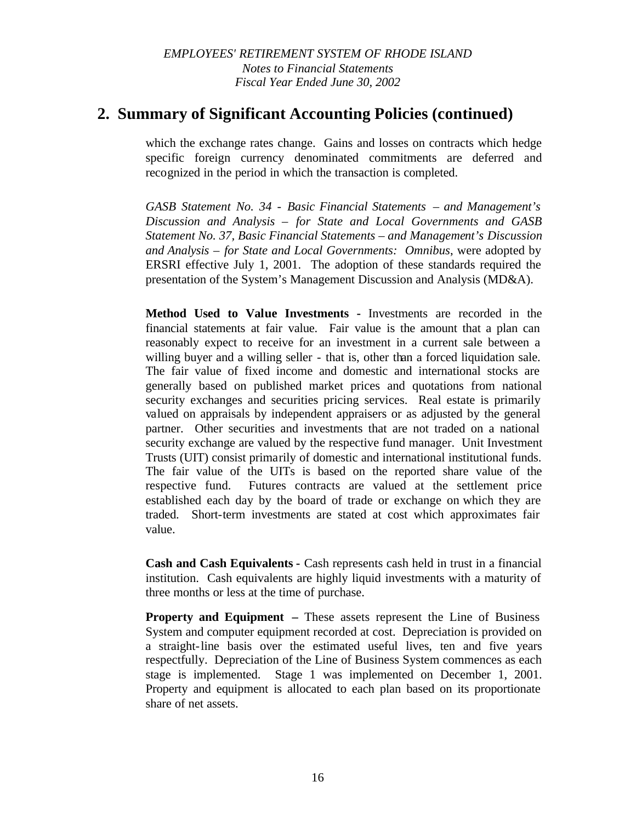# **2. Summary of Significant Accounting Policies (continued)**

which the exchange rates change. Gains and losses on contracts which hedge specific foreign currency denominated commitments are deferred and recognized in the period in which the transaction is completed.

*GASB Statement No. 34* - *Basic Financial Statements – and Management's Discussion and Analysis – for State and Local Governments and GASB Statement No. 37, Basic Financial Statements – and Management's Discussion and Analysis – for State and Local Governments: Omnibus*, were adopted by ERSRI effective July 1, 2001. The adoption of these standards required the presentation of the System's Management Discussion and Analysis (MD&A).

**Method Used to Value Investments -** Investments are recorded in the financial statements at fair value. Fair value is the amount that a plan can reasonably expect to receive for an investment in a current sale between a willing buyer and a willing seller - that is, other than a forced liquidation sale. The fair value of fixed income and domestic and international stocks are generally based on published market prices and quotations from national security exchanges and securities pricing services. Real estate is primarily valued on appraisals by independent appraisers or as adjusted by the general partner. Other securities and investments that are not traded on a national security exchange are valued by the respective fund manager. Unit Investment Trusts (UIT) consist primarily of domestic and international institutional funds. The fair value of the UITs is based on the reported share value of the respective fund. Futures contracts are valued at the settlement price established each day by the board of trade or exchange on which they are traded. Short-term investments are stated at cost which approximates fair value.

**Cash and Cash Equivalents -** Cash represents cash held in trust in a financial institution. Cash equivalents are highly liquid investments with a maturity of three months or less at the time of purchase.

**Property and Equipment –** These assets represent the Line of Business System and computer equipment recorded at cost. Depreciation is provided on a straight-line basis over the estimated useful lives, ten and five years respectfully. Depreciation of the Line of Business System commences as each stage is implemented. Stage 1 was implemented on December 1, 2001. Property and equipment is allocated to each plan based on its proportionate share of net assets.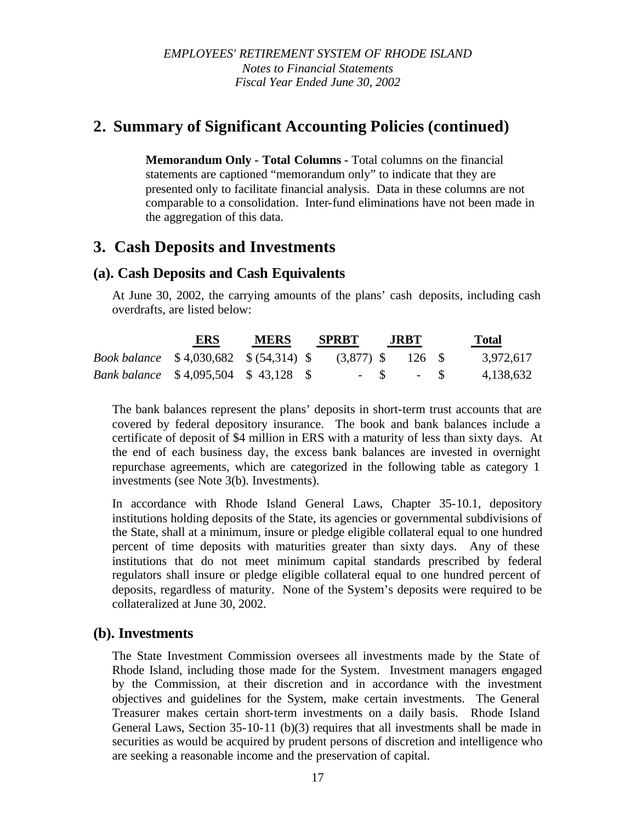# **2. Summary of Significant Accounting Policies (continued)**

**Memorandum Only - Total Columns -** Total columns on the financial statements are captioned "memorandum only" to indicate that they are presented only to facilitate financial analysis. Data in these columns are not comparable to a consolidation. Inter-fund eliminations have not been made in the aggregation of this data.

# **3. Cash Deposits and Investments**

# **(a). Cash Deposits and Cash Equivalents**

At June 30, 2002, the carrying amounts of the plans' cash deposits, including cash overdrafts, are listed below:

|                                                | ERS | <b>MERS</b> | <b>SPRBT</b> | <b>JRBT</b>         | <b>Total</b> |
|------------------------------------------------|-----|-------------|--------------|---------------------|--------------|
| <i>Book balance</i> \$4,030,682 \$ (54,314) \$ |     |             |              | $(3,877)$ \$ 126 \$ | 3,972,617    |
| <i>Bank balance</i> \$4,095,504 \$43,128 \$    |     |             |              | $-$ S $-$ S         | 4,138,632    |

The bank balances represent the plans' deposits in short-term trust accounts that are covered by federal depository insurance. The book and bank balances include a certificate of deposit of \$4 million in ERS with a maturity of less than sixty days. At the end of each business day, the excess bank balances are invested in overnight repurchase agreements, which are categorized in the following table as category 1 investments (see Note 3(b). Investments).

In accordance with Rhode Island General Laws, Chapter 35-10.1, depository institutions holding deposits of the State, its agencies or governmental subdivisions of the State, shall at a minimum, insure or pledge eligible collateral equal to one hundred percent of time deposits with maturities greater than sixty days. Any of these institutions that do not meet minimum capital standards prescribed by federal regulators shall insure or pledge eligible collateral equal to one hundred percent of deposits, regardless of maturity. None of the System's deposits were required to be collateralized at June 30, 2002.

### **(b). Investments**

The State Investment Commission oversees all investments made by the State of Rhode Island, including those made for the System. Investment managers engaged by the Commission, at their discretion and in accordance with the investment objectives and guidelines for the System, make certain investments. The General Treasurer makes certain short-term investments on a daily basis. Rhode Island General Laws, Section 35-10-11 (b)(3) requires that all investments shall be made in securities as would be acquired by prudent persons of discretion and intelligence who are seeking a reasonable income and the preservation of capital.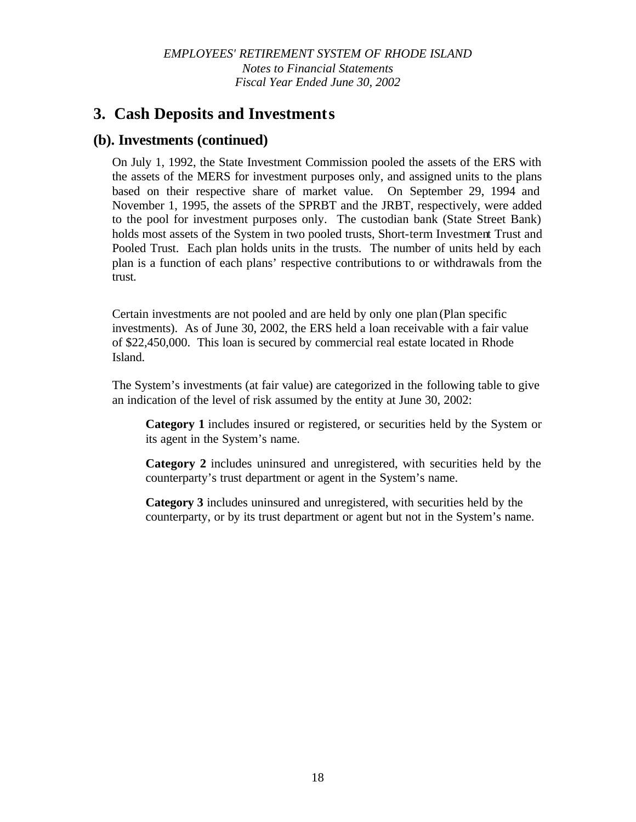# **3. Cash Deposits and Investments**

### **(b). Investments (continued)**

On July 1, 1992, the State Investment Commission pooled the assets of the ERS with the assets of the MERS for investment purposes only, and assigned units to the plans based on their respective share of market value. On September 29, 1994 and November 1, 1995, the assets of the SPRBT and the JRBT, respectively, were added to the pool for investment purposes only. The custodian bank (State Street Bank) holds most assets of the System in two pooled trusts, Short-term Investment Trust and Pooled Trust. Each plan holds units in the trusts. The number of units held by each plan is a function of each plans' respective contributions to or withdrawals from the trust.

Certain investments are not pooled and are held by only one plan (Plan specific investments). As of June 30, 2002, the ERS held a loan receivable with a fair value of \$22,450,000. This loan is secured by commercial real estate located in Rhode Island.

The System's investments (at fair value) are categorized in the following table to give an indication of the level of risk assumed by the entity at June 30, 2002:

**Category 1** includes insured or registered, or securities held by the System or its agent in the System's name.

**Category 2** includes uninsured and unregistered, with securities held by the counterparty's trust department or agent in the System's name.

**Category 3** includes uninsured and unregistered, with securities held by the counterparty, or by its trust department or agent but not in the System's name.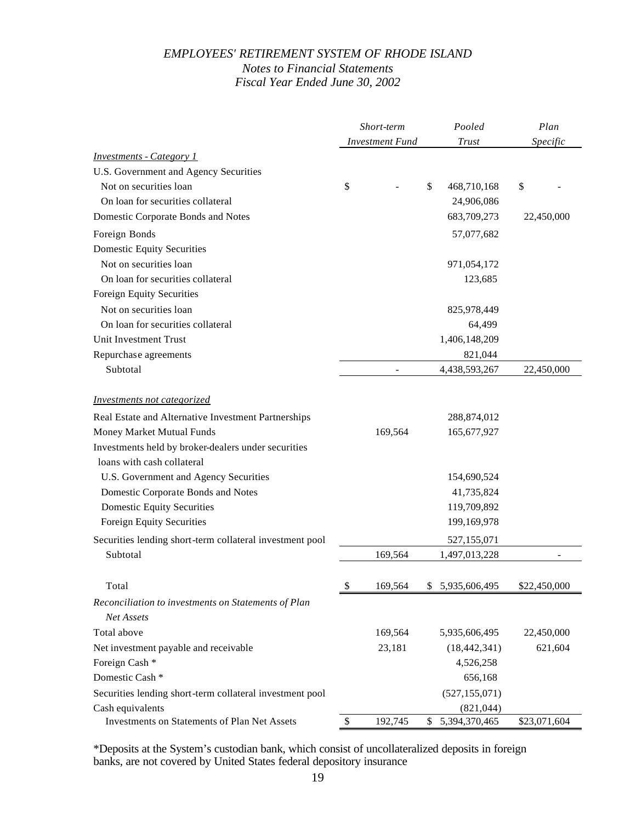|                                                          | Short-term             | Pooled            | Plan<br>Specific |  |
|----------------------------------------------------------|------------------------|-------------------|------------------|--|
|                                                          | <b>Investment Fund</b> | <b>Trust</b>      |                  |  |
| <b>Investments - Category 1</b>                          |                        |                   |                  |  |
| U.S. Government and Agency Securities                    |                        |                   |                  |  |
| Not on securities loan                                   | \$                     | \$<br>468,710,168 | \$               |  |
| On loan for securities collateral                        |                        | 24,906,086        |                  |  |
| Domestic Corporate Bonds and Notes                       |                        | 683,709,273       | 22,450,000       |  |
| Foreign Bonds                                            |                        | 57,077,682        |                  |  |
| <b>Domestic Equity Securities</b>                        |                        |                   |                  |  |
| Not on securities loan                                   |                        | 971,054,172       |                  |  |
| On loan for securities collateral                        |                        | 123,685           |                  |  |
| Foreign Equity Securities                                |                        |                   |                  |  |
| Not on securities loan                                   |                        | 825,978,449       |                  |  |
| On loan for securities collateral                        |                        | 64,499            |                  |  |
| Unit Investment Trust                                    |                        | 1,406,148,209     |                  |  |
| Repurchase agreements                                    |                        | 821,044           |                  |  |
| Subtotal                                                 |                        | 4,438,593,267     | 22,450,000       |  |
|                                                          |                        |                   |                  |  |
| Investments not categorized                              |                        |                   |                  |  |
| Real Estate and Alternative Investment Partnerships      |                        | 288,874,012       |                  |  |
| Money Market Mutual Funds                                | 169,564                | 165,677,927       |                  |  |
| Investments held by broker-dealers under securities      |                        |                   |                  |  |
| loans with cash collateral                               |                        |                   |                  |  |
| U.S. Government and Agency Securities                    |                        | 154,690,524       |                  |  |
| Domestic Corporate Bonds and Notes                       |                        | 41,735,824        |                  |  |
| <b>Domestic Equity Securities</b>                        |                        | 119,709,892       |                  |  |
| Foreign Equity Securities                                |                        | 199,169,978       |                  |  |
| Securities lending short-term collateral investment pool |                        | 527,155,071       |                  |  |
| Subtotal                                                 | 169,564                | 1,497,013,228     |                  |  |
|                                                          |                        |                   |                  |  |
| Total                                                    | \$<br>169,564          | 5,935,606,495     | \$22,450,000     |  |
| Reconciliation to investments on Statements of Plan      |                        |                   |                  |  |
| Net Assets                                               |                        |                   |                  |  |
| Total above                                              | 169,564                | 5,935,606,495     | 22,450,000       |  |
| Net investment payable and receivable                    | 23,181                 | (18, 442, 341)    | 621,604          |  |
| Foreign Cash *                                           |                        | 4,526,258         |                  |  |
| Domestic Cash *                                          |                        | 656,168           |                  |  |
| Securities lending short-term collateral investment pool |                        | (527, 155, 071)   |                  |  |
| Cash equivalents                                         |                        | (821, 044)        |                  |  |
| Investments on Statements of Plan Net Assets             | \$<br>192,745          | \$5,394,370,465   | \$23,071,604     |  |

\*Deposits at the System's custodian bank, which consist of uncollateralized deposits in foreign banks, are not covered by United States federal depository insurance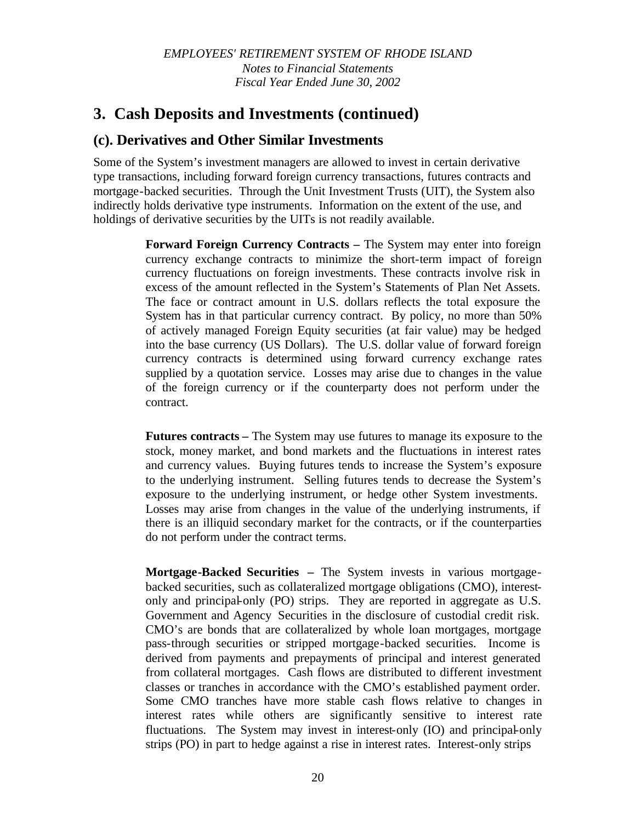# **3. Cash Deposits and Investments (continued)**

### **(c). Derivatives and Other Similar Investments**

Some of the System's investment managers are allowed to invest in certain derivative type transactions, including forward foreign currency transactions, futures contracts and mortgage-backed securities. Through the Unit Investment Trusts (UIT), the System also indirectly holds derivative type instruments. Information on the extent of the use, and holdings of derivative securities by the UITs is not readily available.

> **Forward Foreign Currency Contracts –** The System may enter into foreign currency exchange contracts to minimize the short-term impact of foreign currency fluctuations on foreign investments. These contracts involve risk in excess of the amount reflected in the System's Statements of Plan Net Assets. The face or contract amount in U.S. dollars reflects the total exposure the System has in that particular currency contract. By policy, no more than 50% of actively managed Foreign Equity securities (at fair value) may be hedged into the base currency (US Dollars). The U.S. dollar value of forward foreign currency contracts is determined using forward currency exchange rates supplied by a quotation service. Losses may arise due to changes in the value of the foreign currency or if the counterparty does not perform under the contract.

> **Futures contracts –** The System may use futures to manage its exposure to the stock, money market, and bond markets and the fluctuations in interest rates and currency values. Buying futures tends to increase the System's exposure to the underlying instrument. Selling futures tends to decrease the System's exposure to the underlying instrument, or hedge other System investments. Losses may arise from changes in the value of the underlying instruments, if there is an illiquid secondary market for the contracts, or if the counterparties do not perform under the contract terms.

> **Mortgage-Backed Securities –** The System invests in various mortgagebacked securities, such as collateralized mortgage obligations (CMO), interestonly and principal-only (PO) strips. They are reported in aggregate as U.S. Government and Agency Securities in the disclosure of custodial credit risk. CMO's are bonds that are collateralized by whole loan mortgages, mortgage pass-through securities or stripped mortgage-backed securities. Income is derived from payments and prepayments of principal and interest generated from collateral mortgages. Cash flows are distributed to different investment classes or tranches in accordance with the CMO's established payment order. Some CMO tranches have more stable cash flows relative to changes in interest rates while others are significantly sensitive to interest rate fluctuations. The System may invest in interest-only (IO) and principal-only strips (PO) in part to hedge against a rise in interest rates. Interest-only strips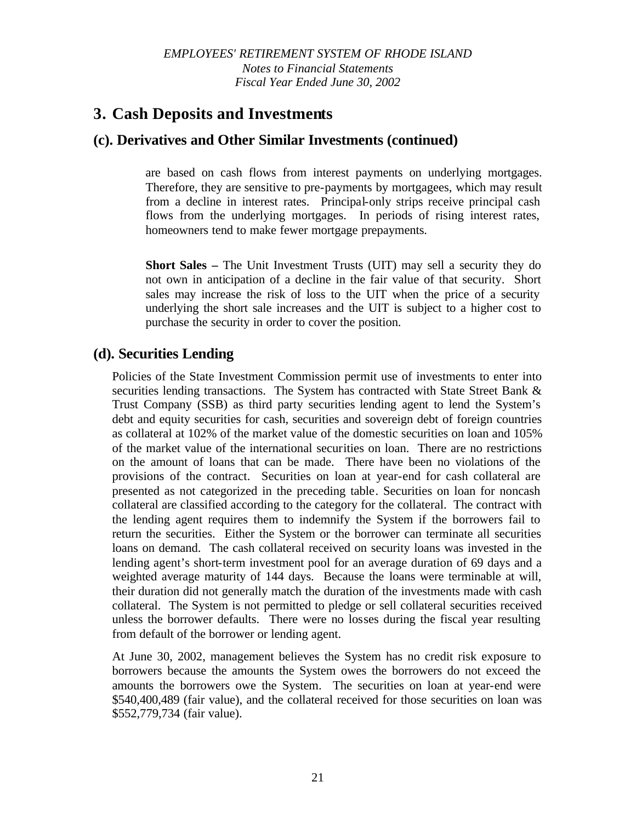# **3. Cash Deposits and Investments**

# **(c). Derivatives and Other Similar Investments (continued)**

are based on cash flows from interest payments on underlying mortgages. Therefore, they are sensitive to pre-payments by mortgagees, which may result from a decline in interest rates. Principal-only strips receive principal cash flows from the underlying mortgages. In periods of rising interest rates, homeowners tend to make fewer mortgage prepayments.

**Short Sales –** The Unit Investment Trusts (UIT) may sell a security they do not own in anticipation of a decline in the fair value of that security. Short sales may increase the risk of loss to the UIT when the price of a security underlying the short sale increases and the UIT is subject to a higher cost to purchase the security in order to cover the position.

# **(d). Securities Lending**

Policies of the State Investment Commission permit use of investments to enter into securities lending transactions. The System has contracted with State Street Bank & Trust Company (SSB) as third party securities lending agent to lend the System's debt and equity securities for cash, securities and sovereign debt of foreign countries as collateral at 102% of the market value of the domestic securities on loan and 105% of the market value of the international securities on loan. There are no restrictions on the amount of loans that can be made. There have been no violations of the provisions of the contract. Securities on loan at year-end for cash collateral are presented as not categorized in the preceding table. Securities on loan for noncash collateral are classified according to the category for the collateral. The contract with the lending agent requires them to indemnify the System if the borrowers fail to return the securities. Either the System or the borrower can terminate all securities loans on demand. The cash collateral received on security loans was invested in the lending agent's short-term investment pool for an average duration of 69 days and a weighted average maturity of 144 days. Because the loans were terminable at will, their duration did not generally match the duration of the investments made with cash collateral. The System is not permitted to pledge or sell collateral securities received unless the borrower defaults. There were no losses during the fiscal year resulting from default of the borrower or lending agent.

At June 30, 2002, management believes the System has no credit risk exposure to borrowers because the amounts the System owes the borrowers do not exceed the amounts the borrowers owe the System. The securities on loan at year-end were \$540,400,489 (fair value), and the collateral received for those securities on loan was \$552,779,734 (fair value).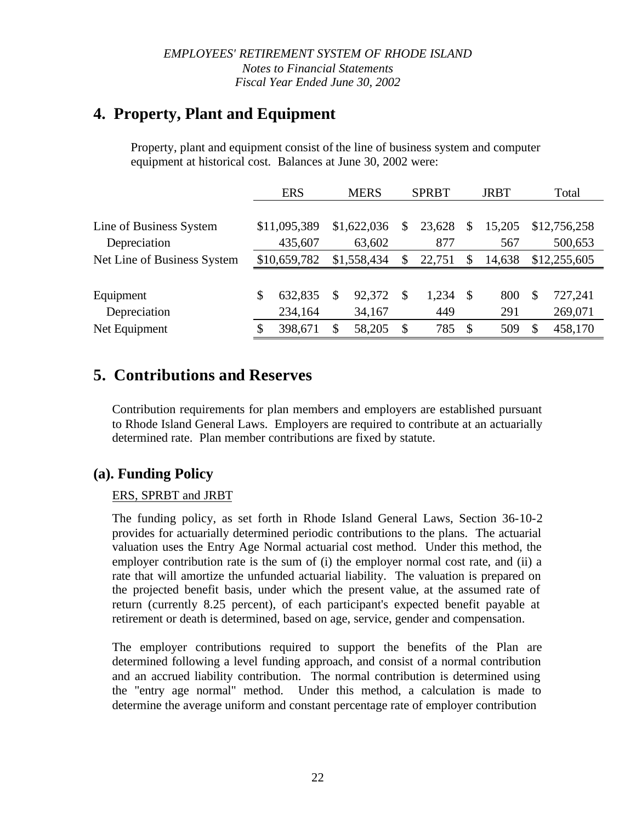# **4. Property, Plant and Equipment**

Property, plant and equipment consist of the line of business system and computer equipment at historical cost. Balances at June 30, 2002 were:

|                             | <b>ERS</b>    | <b>MERS</b> |             | <b>SPRBT</b> |        | <b>JRBT</b> |        | Total |              |
|-----------------------------|---------------|-------------|-------------|--------------|--------|-------------|--------|-------|--------------|
|                             |               |             |             |              |        |             |        |       |              |
| Line of Business System     | \$11,095,389  |             | \$1,622,036 | S            | 23,628 | S           | 15,205 |       | \$12,756,258 |
| Depreciation                | 435,607       |             | 63,602      |              | 877    |             | 567    |       | 500,653      |
| Net Line of Business System | \$10,659,782  |             | \$1,558,434 | S            | 22,751 | \$          | 14,638 |       | \$12,255,605 |
|                             |               |             |             |              |        |             |        |       |              |
| Equipment                   | \$<br>632,835 | S           | 92,372      | \$.          | 1,234  | -S          | 800    | S     | 727,241      |
| Depreciation                | 234,164       |             | 34,167      |              | 449    |             | 291    |       | 269,071      |
| Net Equipment               | \$<br>398,671 | S           | 58,205      | \$           | 785    | S           | 509    | \$    | 458,170      |

# **5. Contributions and Reserves**

Contribution requirements for plan members and employers are established pursuant to Rhode Island General Laws. Employers are required to contribute at an actuarially determined rate. Plan member contributions are fixed by statute.

# **(a). Funding Policy**

### ERS, SPRBT and JRBT

The funding policy, as set forth in Rhode Island General Laws, Section 36-10-2 provides for actuarially determined periodic contributions to the plans. The actuarial valuation uses the Entry Age Normal actuarial cost method. Under this method, the employer contribution rate is the sum of (i) the employer normal cost rate, and (ii) a rate that will amortize the unfunded actuarial liability. The valuation is prepared on the projected benefit basis, under which the present value, at the assumed rate of return (currently 8.25 percent), of each participant's expected benefit payable at retirement or death is determined, based on age, service, gender and compensation.

The employer contributions required to support the benefits of the Plan are determined following a level funding approach, and consist of a normal contribution and an accrued liability contribution. The normal contribution is determined using the "entry age normal" method. Under this method, a calculation is made to determine the average uniform and constant percentage rate of employer contribution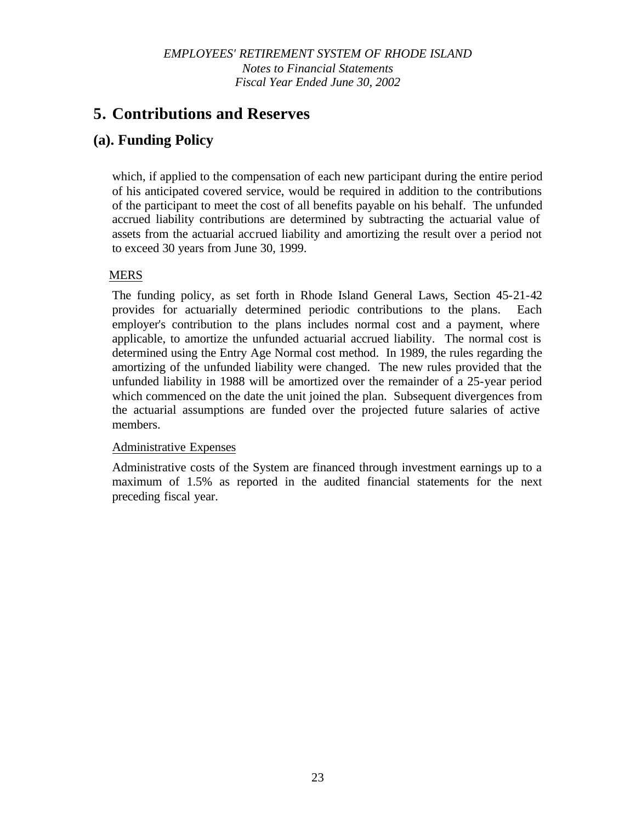# **5. Contributions and Reserves**

# **(a). Funding Policy**

which, if applied to the compensation of each new participant during the entire period of his anticipated covered service, would be required in addition to the contributions of the participant to meet the cost of all benefits payable on his behalf. The unfunded accrued liability contributions are determined by subtracting the actuarial value of assets from the actuarial accrued liability and amortizing the result over a period not to exceed 30 years from June 30, 1999.

### MERS

The funding policy, as set forth in Rhode Island General Laws, Section 45-21-42 provides for actuarially determined periodic contributions to the plans. Each employer's contribution to the plans includes normal cost and a payment, where applicable, to amortize the unfunded actuarial accrued liability. The normal cost is determined using the Entry Age Normal cost method. In 1989, the rules regarding the amortizing of the unfunded liability were changed. The new rules provided that the unfunded liability in 1988 will be amortized over the remainder of a 25-year period which commenced on the date the unit joined the plan. Subsequent divergences from the actuarial assumptions are funded over the projected future salaries of active members.

### Administrative Expenses

Administrative costs of the System are financed through investment earnings up to a maximum of 1.5% as reported in the audited financial statements for the next preceding fiscal year.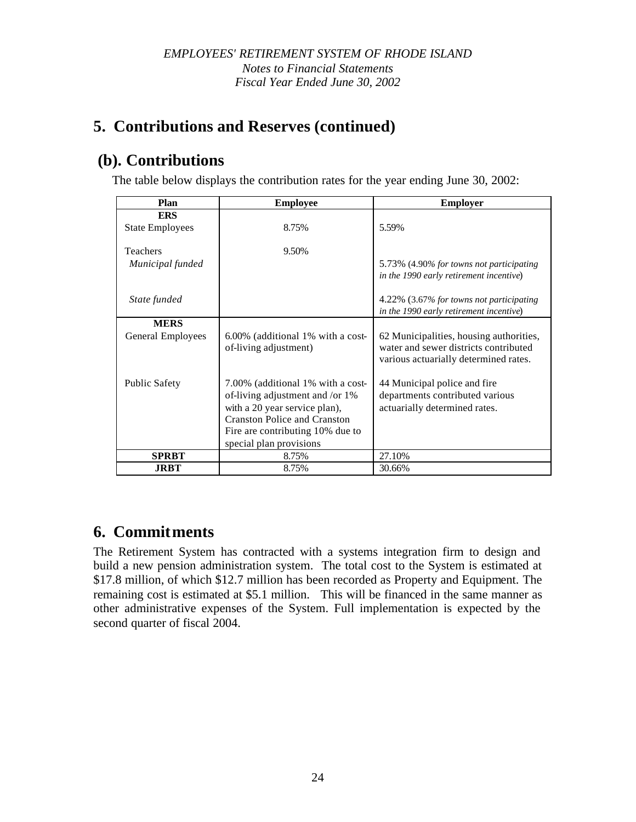# **5. Contributions and Reserves (continued)**

# **(b). Contributions**

The table below displays the contribution rates for the year ending June 30, 2002:

| Plan                         | <b>Employee</b>                                                                                                                                                                                             | <b>Employer</b>                                                                                                           |
|------------------------------|-------------------------------------------------------------------------------------------------------------------------------------------------------------------------------------------------------------|---------------------------------------------------------------------------------------------------------------------------|
| <b>ERS</b>                   |                                                                                                                                                                                                             |                                                                                                                           |
| <b>State Employees</b>       | 8.75%                                                                                                                                                                                                       | 5.59%                                                                                                                     |
| Teachers<br>Municipal funded | 9.50%                                                                                                                                                                                                       | 5.73% (4.90% for towns not participating<br>in the 1990 early retirement incentive)                                       |
| State funded                 |                                                                                                                                                                                                             | 4.22% (3.67% for towns not participating<br>in the 1990 early retirement incentive)                                       |
| <b>MERS</b>                  |                                                                                                                                                                                                             |                                                                                                                           |
| General Employees            | 6.00% (additional 1% with a cost-<br>of-living adjustment)                                                                                                                                                  | 62 Municipalities, housing authorities,<br>water and sewer districts contributed<br>various actuarially determined rates. |
| <b>Public Safety</b>         | 7.00% (additional 1% with a cost-<br>of-living adjustment and /or 1%<br>with a 20 year service plan),<br><b>Cranston Police and Cranston</b><br>Fire are contributing 10% due to<br>special plan provisions | 44 Municipal police and fire<br>departments contributed various<br>actuarially determined rates.                          |
| <b>SPRBT</b>                 | 8.75%                                                                                                                                                                                                       | 27.10%                                                                                                                    |
| <b>JRBT</b>                  | 8.75%                                                                                                                                                                                                       | 30.66%                                                                                                                    |

# **6. Commitments**

The Retirement System has contracted with a systems integration firm to design and build a new pension administration system. The total cost to the System is estimated at \$17.8 million, of which \$12.7 million has been recorded as Property and Equipment. The remaining cost is estimated at \$5.1 million. This will be financed in the same manner as other administrative expenses of the System. Full implementation is expected by the second quarter of fiscal 2004.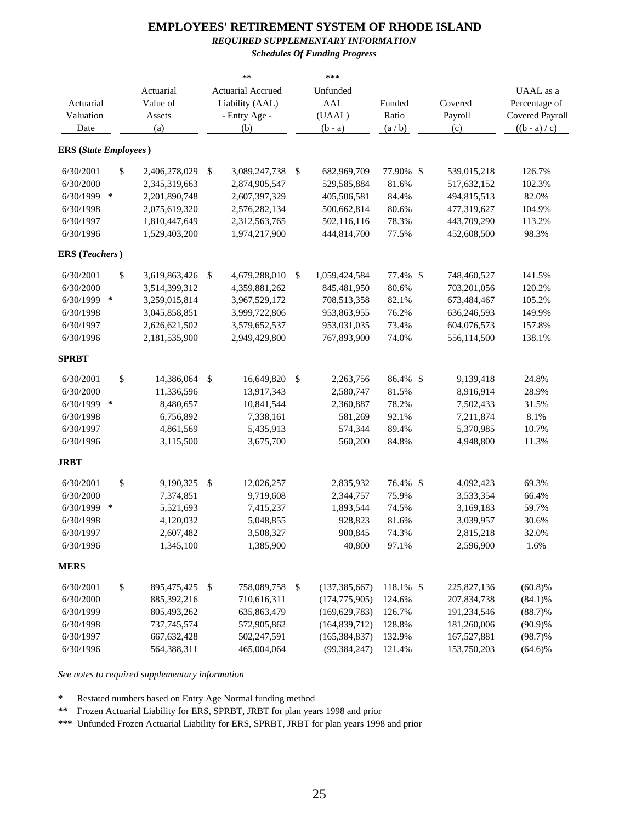#### *REQUIRED SUPPLEMENTARY INFORMATION*

*Schedules Of Funding Progress*

|                              |    |               |                           | **                | ***                   |           |            |             |                        |
|------------------------------|----|---------------|---------------------------|-------------------|-----------------------|-----------|------------|-------------|------------------------|
|                              |    | Actuarial     |                           | Actuarial Accrued | Unfunded              |           |            |             | UAAL as a              |
| Actuarial                    |    | Value of      |                           | Liability (AAL)   | <b>AAL</b>            | Funded    |            | Covered     | Percentage of          |
| Valuation                    |    | Assets        |                           | - Entry Age -     | (UAAL)                | Ratio     |            | Payroll     | <b>Covered Payroll</b> |
| Date                         |    | (a)           |                           | (b)               | $(b - a)$             | (a/b)     |            | (c)         | $((b - a) / c)$        |
| <b>ERS</b> (State Employees) |    |               |                           |                   |                       |           |            |             |                        |
|                              |    |               |                           |                   |                       |           |            |             |                        |
| 6/30/2001                    | \$ | 2,406,278,029 | \$                        | 3,089,247,738     | \$<br>682,969,709     | 77.90%    | \$         | 539,015,218 | 126.7%                 |
| 6/30/2000                    |    | 2,345,319,663 |                           | 2,874,905,547     | 529,585,884           | 81.6%     |            | 517,632,152 | 102.3%                 |
| 6/30/1999 *                  |    | 2,201,890,748 |                           | 2,607,397,329     | 405,506,581           | 84.4%     |            | 494,815,513 | 82.0%                  |
| 6/30/1998                    |    | 2,075,619,320 |                           | 2,576,282,134     | 500,662,814           | 80.6%     |            | 477,319,627 | 104.9%                 |
| 6/30/1997                    |    | 1,810,447,649 |                           | 2,312,563,765     | 502,116,116           | 78.3%     |            | 443,709,290 | 113.2%                 |
| 6/30/1996                    |    | 1,529,403,200 |                           | 1,974,217,900     | 444,814,700           | 77.5%     |            | 452,608,500 | 98.3%                  |
| <b>ERS</b> (Teachers)        |    |               |                           |                   |                       |           |            |             |                        |
| 6/30/2001                    | \$ | 3,619,863,426 | \$                        | 4,679,288,010     | \$<br>1,059,424,584   | 77.4%     | $\sqrt{2}$ | 748,460,527 | 141.5%                 |
| 6/30/2000                    |    | 3,514,399,312 |                           | 4,359,881,262     | 845,481,950           | 80.6%     |            | 703,201,056 | 120.2%                 |
| 6/30/1999 *                  |    | 3,259,015,814 |                           | 3,967,529,172     | 708,513,358           | 82.1%     |            | 673,484,467 | 105.2%                 |
| 6/30/1998                    |    | 3,045,858,851 |                           | 3,999,722,806     | 953,863,955           | 76.2%     |            | 636,246,593 | 149.9%                 |
| 6/30/1997                    |    | 2,626,621,502 |                           | 3,579,652,537     | 953,031,035           | 73.4%     |            | 604,076,573 | 157.8%                 |
| 6/30/1996                    |    | 2,181,535,900 |                           | 2,949,429,800     | 767,893,900           | 74.0%     |            | 556,114,500 | 138.1%                 |
| <b>SPRBT</b>                 |    |               |                           |                   |                       |           |            |             |                        |
| 6/30/2001                    | \$ | 14,386,064    | \$                        | 16,649,820        | \$<br>2,263,756       | 86.4% \$  |            | 9,139,418   | 24.8%                  |
| 6/30/2000                    |    | 11,336,596    |                           | 13,917,343        | 2,580,747             | 81.5%     |            | 8,916,914   | 28.9%                  |
| 6/30/1999 *                  |    | 8,480,657     |                           | 10,841,544        | 2,360,887             | 78.2%     |            | 7,502,433   | 31.5%                  |
| 6/30/1998                    |    | 6,756,892     |                           | 7,338,161         | 581,269               | 92.1%     |            | 7,211,874   | 8.1%                   |
| 6/30/1997                    |    | 4,861,569     |                           | 5,435,913         | 574,344               | 89.4%     |            | 5,370,985   | 10.7%                  |
| 6/30/1996                    |    | 3,115,500     |                           | 3,675,700         | 560,200               | 84.8%     |            | 4,948,800   | 11.3%                  |
| <b>JRBT</b>                  |    |               |                           |                   |                       |           |            |             |                        |
| 6/30/2001                    | \$ | 9,190,325     | $\boldsymbol{\mathsf{S}}$ | 12,026,257        | 2,835,932             | 76.4% \$  |            | 4,092,423   | 69.3%                  |
| 6/30/2000                    |    | 7,374,851     |                           | 9,719,608         | 2,344,757             | 75.9%     |            | 3,533,354   | 66.4%                  |
| 6/30/1999                    | *  | 5,521,693     |                           | 7,415,237         | 1,893,544             | 74.5%     |            | 3,169,183   | 59.7%                  |
| 6/30/1998                    |    | 4,120,032     |                           | 5,048,855         | 928,823               | 81.6%     |            | 3,039,957   | 30.6%                  |
| 6/30/1997                    |    | 2,607,482     |                           | 3,508,327         | 900,845               | 74.3%     |            | 2,815,218   | 32.0%                  |
| 6/30/1996                    |    | 1,345,100     |                           | 1,385,900         | 40,800                | 97.1%     |            | 2,596,900   | 1.6%                   |
| <b>MERS</b>                  |    |               |                           |                   |                       |           |            |             |                        |
| 6/30/2001                    | \$ | 895,475,425   | \$                        | 758,089,758       | \$<br>(137, 385, 667) | 118.1% \$ |            | 225,827,136 | (60.8)%                |
| 6/30/2000                    |    | 885,392,216   |                           | 710,616,311       | (174, 775, 905)       | 124.6%    |            | 207,834,738 | $(84.1)\%$             |
| 6/30/1999                    |    | 805,493,262   |                           | 635,863,479       | (169, 629, 783)       | 126.7%    |            | 191,234,546 | $(88.7)\%$             |
| 6/30/1998                    |    | 737,745,574   |                           | 572,905,862       | (164, 839, 712)       | 128.8%    |            | 181,260,006 | $(90.9)\%$             |
| 6/30/1997                    |    | 667, 632, 428 |                           | 502,247,591       | (165, 384, 837)       | 132.9%    |            | 167,527,881 | $(98.7)\%$             |
| 6/30/1996                    |    | 564,388,311   |                           | 465,004,064       | (99, 384, 247)        | 121.4%    |            | 153,750,203 | $(64.6)\%$             |

*See notes to required supplementary information*

**\*** Restated numbers based on Entry Age Normal funding method

**\*\*** Frozen Actuarial Liability for ERS, SPRBT, JRBT for plan years 1998 and prior

**\*\*\*** Unfunded Frozen Actuarial Liability for ERS, SPRBT, JRBT for plan years 1998 and prior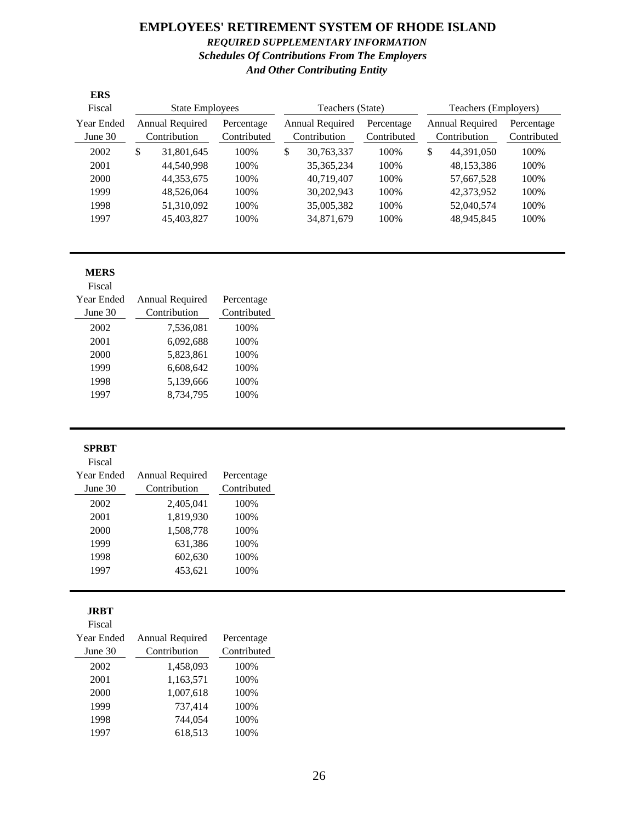### **EMPLOYEES' RETIREMENT SYSTEM OF RHODE ISLAND** *REQUIRED SUPPLEMENTARY INFORMATION Schedules Of Contributions From The Employers And Other Contributing Entity*

| <b>ERS</b>                   |                        |                                        |                           |                                        |                           |                      |                                        |                           |
|------------------------------|------------------------|----------------------------------------|---------------------------|----------------------------------------|---------------------------|----------------------|----------------------------------------|---------------------------|
| Fiscal                       | <b>State Employees</b> |                                        |                           | Teachers (State)                       |                           | Teachers (Employers) |                                        |                           |
| <b>Year Ended</b><br>June 30 |                        | <b>Annual Required</b><br>Contribution | Percentage<br>Contributed | <b>Annual Required</b><br>Contribution | Percentage<br>Contributed |                      | <b>Annual Required</b><br>Contribution | Percentage<br>Contributed |
| 2002                         | \$                     | 31,801,645                             | 100\%                     | \$<br>30,763,337                       | 100\%                     | \$                   | 44.391.050                             | 100%                      |
| 2001                         |                        | 44.540.998                             | 100%                      | 35, 365, 234                           | 100%                      |                      | 48,153,386                             | 100%                      |
| <b>2000</b>                  |                        | 44,353,675                             | 100%                      | 40.719.407                             | 100%                      |                      | 57,667,528                             | 100%                      |
| 1999                         |                        | 48,526,064                             | 100%                      | 30,202,943                             | 100%                      |                      | 42,373,952                             | 100%                      |
| 1998                         |                        | 51.310.092                             | 100%                      | 35,005,382                             | 100%                      |                      | 52,040,574                             | 100%                      |
| 1997                         |                        | 45,403,827                             | 100%                      | 34,871,679                             | 100%                      |                      | 48,945,845                             | 100%                      |

#### **MERS**  $\overline{\mathbf{E}}$

| Fiscal     |                 |             |
|------------|-----------------|-------------|
| Year Ended | Annual Required | Percentage  |
| June 30    | Contribution    | Contributed |
| 2002       | 7,536,081       | 100%        |
| 2001       | 6,092,688       | 100%        |
| 2000       | 5,823,861       | 100%        |
| 1999       | 6,608,642       | 100%        |
| 1998       | 5,139,666       | 100%        |
| 1997       | 8,734,795       | 100%        |
|            |                 |             |

#### **SPRBT**

### Fiscal

| <b>Year Ended</b> | Annual Required | Percentage  |  |  |
|-------------------|-----------------|-------------|--|--|
| June 30           | Contribution    | Contributed |  |  |
| 2002              | 2,405,041       | 100%        |  |  |
| 2001              | 1,819,930       | 100%        |  |  |
| 2000              | 1,508,778       | 100%        |  |  |
| 1999              | 631,386         | 100%        |  |  |
| 1998              | 602,630         | 100%        |  |  |
| 1997              | 453,621         | 100%        |  |  |
|                   |                 |             |  |  |

### **JRBT**

| Fiscal     |                 |             |
|------------|-----------------|-------------|
| Year Ended | Annual Required | Percentage  |
| June 30    | Contribution    | Contributed |
| 2002       | 1,458,093       | 100%        |
| 2001       | 1,163,571       | 100%        |
| 2000       | 1,007,618       | 100%        |
| 1999       | 737,414         | 100%        |
| 1998       | 744,054         | 100%        |
| 1997       | 618,513         | 100%        |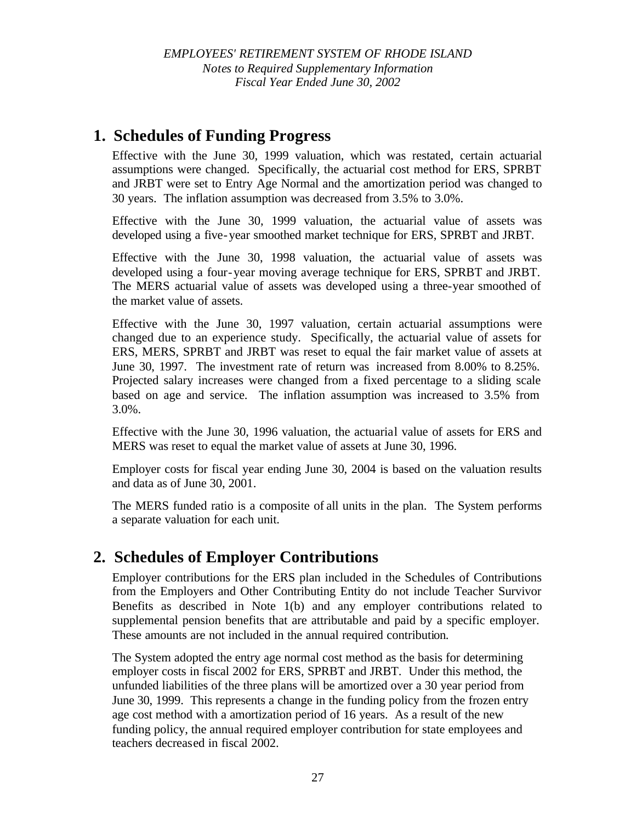*EMPLOYEES' RETIREMENT SYSTEM OF RHODE ISLAND Notes to Required Supplementary Information Fiscal Year Ended June 30, 2002*

# **1. Schedules of Funding Progress**

Effective with the June 30, 1999 valuation, which was restated, certain actuarial assumptions were changed. Specifically, the actuarial cost method for ERS, SPRBT and JRBT were set to Entry Age Normal and the amortization period was changed to 30 years. The inflation assumption was decreased from 3.5% to 3.0%.

Effective with the June 30, 1999 valuation, the actuarial value of assets was developed using a five-year smoothed market technique for ERS, SPRBT and JRBT.

Effective with the June 30, 1998 valuation, the actuarial value of assets was developed using a four-year moving average technique for ERS, SPRBT and JRBT. The MERS actuarial value of assets was developed using a three-year smoothed of the market value of assets.

Effective with the June 30, 1997 valuation, certain actuarial assumptions were changed due to an experience study. Specifically, the actuarial value of assets for ERS, MERS, SPRBT and JRBT was reset to equal the fair market value of assets at June 30, 1997. The investment rate of return was increased from 8.00% to 8.25%. Projected salary increases were changed from a fixed percentage to a sliding scale based on age and service. The inflation assumption was increased to 3.5% from 3.0%.

Effective with the June 30, 1996 valuation, the actuarial value of assets for ERS and MERS was reset to equal the market value of assets at June 30, 1996.

Employer costs for fiscal year ending June 30, 2004 is based on the valuation results and data as of June 30, 2001.

The MERS funded ratio is a composite of all units in the plan. The System performs a separate valuation for each unit.

# **2. Schedules of Employer Contributions**

Employer contributions for the ERS plan included in the Schedules of Contributions from the Employers and Other Contributing Entity do not include Teacher Survivor Benefits as described in Note 1(b) and any employer contributions related to supplemental pension benefits that are attributable and paid by a specific employer. These amounts are not included in the annual required contribution.

The System adopted the entry age normal cost method as the basis for determining employer costs in fiscal 2002 for ERS, SPRBT and JRBT. Under this method, the unfunded liabilities of the three plans will be amortized over a 30 year period from June 30, 1999. This represents a change in the funding policy from the frozen entry age cost method with a amortization period of 16 years. As a result of the new funding policy, the annual required employer contribution for state employees and teachers decreased in fiscal 2002.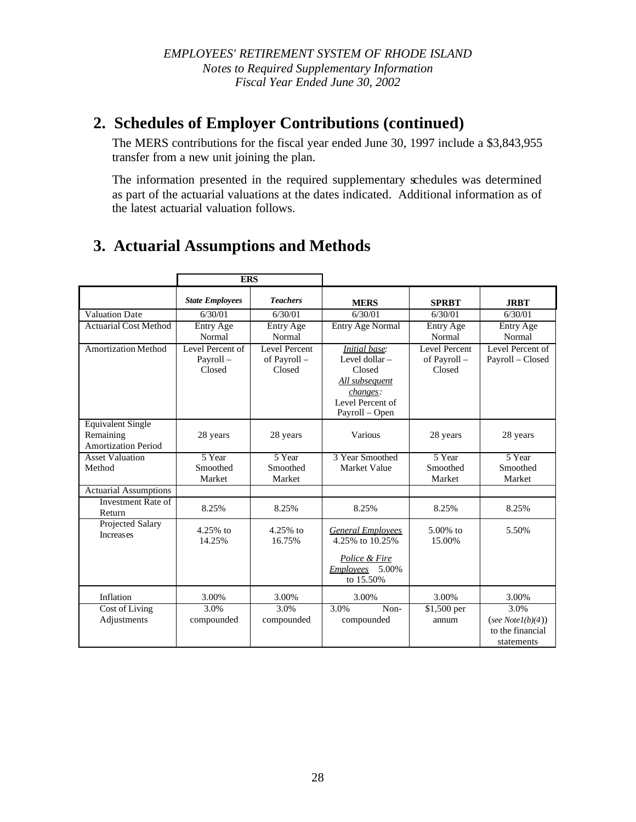# **2. Schedules of Employer Contributions (continued)**

The MERS contributions for the fiscal year ended June 30, 1997 include a \$3,843,955 transfer from a new unit joining the plan.

The information presented in the required supplementary schedules was determined as part of the actuarial valuations at the dates indicated. Additional information as of the latest actuarial valuation follows.

# **3. Actuarial Assumptions and Methods**

|                                                                     | <b>ERS</b>                             |                                         |                                                                                                                      |                                         |                                                               |
|---------------------------------------------------------------------|----------------------------------------|-----------------------------------------|----------------------------------------------------------------------------------------------------------------------|-----------------------------------------|---------------------------------------------------------------|
|                                                                     | <b>State Employees</b>                 | <b>Teachers</b>                         | <b>MERS</b>                                                                                                          | <b>SPRBT</b>                            | <b>JRBT</b>                                                   |
| <b>Valuation Date</b>                                               | 6/30/01                                | 6/30/01                                 | 6/30/01                                                                                                              | 6/30/01                                 | 6/30/01                                                       |
| <b>Actuarial Cost Method</b>                                        | Entry Age<br>Normal                    | Entry Age<br>Normal                     | Entry Age Normal                                                                                                     | Entry Age<br>Normal                     | Entry Age<br>Normal                                           |
| <b>Amortization Method</b>                                          | Level Percent of<br>Payroll-<br>Closed | Level Percent<br>of Payroll -<br>Closed | <b>Initial</b> base:<br>Level dollar -<br>Closed<br>All subsequent<br>changes:<br>Level Percent of<br>Payroll - Open | Level Percent<br>of Payroll -<br>Closed | Level Percent of<br>Payroll - Closed                          |
| <b>Equivalent Single</b><br>Remaining<br><b>Amortization Period</b> | 28 years                               | 28 years                                | Various                                                                                                              | 28 years                                | 28 years                                                      |
| <b>Asset Valuation</b><br>Method                                    | 5 Year<br>Smoothed<br>Market           | 5 Year<br>Smoothed<br>Market            | 3 Year Smoothed<br>Market Value                                                                                      | 5 Year<br>Smoothed<br>Market            | 5 Year<br>Smoothed<br>Market                                  |
| <b>Actuarial Assumptions</b>                                        |                                        |                                         |                                                                                                                      |                                         |                                                               |
| Investment Rate of<br>Return                                        | 8.25%                                  | 8.25%                                   | 8.25%                                                                                                                | 8.25%                                   | 8.25%                                                         |
| Projected Salary<br><b>Increases</b>                                | $4.25%$ to<br>14.25%                   | $4.25%$ to<br>16.75%                    | <b>General Employees</b><br>4.25% to 10.25%<br>Police & Fire<br>Employees 5.00%<br>to $15.50\%$                      | $5.00\%$ to<br>15.00%                   | 5.50%                                                         |
| Inflation                                                           | 3.00%                                  | 3.00%                                   | 3.00%                                                                                                                | 3.00%                                   | 3.00%                                                         |
| Cost of Living<br>Adjustments                                       | 3.0%<br>compounded                     | 3.0%<br>compounded                      | 3.0%<br>Non-<br>compounded                                                                                           | $$1,500$ per<br>annum                   | 3.0%<br>(see $Note1(b)(4))$<br>to the financial<br>statements |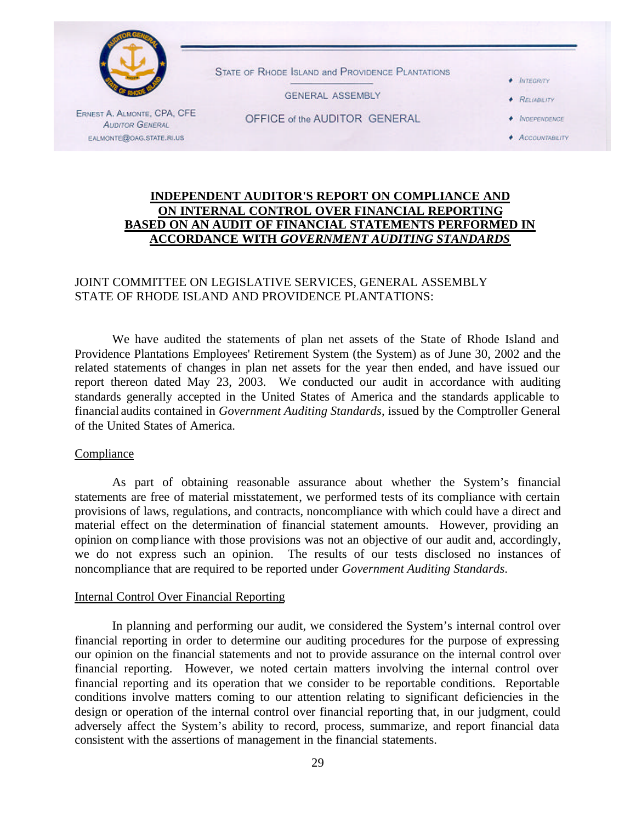

### **INDEPENDENT AUDITOR'S REPORT ON COMPLIANCE AND ON INTERNAL CONTROL OVER FINANCIAL REPORTING BASED ON AN AUDIT OF FINANCIAL STATEMENTS PERFORMED IN ACCORDANCE WITH** *GOVERNMENT AUDITING STANDARDS*

### JOINT COMMITTEE ON LEGISLATIVE SERVICES, GENERAL ASSEMBLY STATE OF RHODE ISLAND AND PROVIDENCE PLANTATIONS:

We have audited the statements of plan net assets of the State of Rhode Island and Providence Plantations Employees' Retirement System (the System) as of June 30, 2002 and the related statements of changes in plan net assets for the year then ended, and have issued our report thereon dated May 23, 2003. We conducted our audit in accordance with auditing standards generally accepted in the United States of America and the standards applicable to financial audits contained in *Government Auditing Standards*, issued by the Comptroller General of the United States of America.

#### Compliance

As part of obtaining reasonable assurance about whether the System's financial statements are free of material misstatement, we performed tests of its compliance with certain provisions of laws, regulations, and contracts, noncompliance with which could have a direct and material effect on the determination of financial statement amounts. However, providing an opinion on compliance with those provisions was not an objective of our audit and, accordingly, we do not express such an opinion. The results of our tests disclosed no instances of noncompliance that are required to be reported under *Government Auditing Standards*.

### Internal Control Over Financial Reporting

In planning and performing our audit, we considered the System's internal control over financial reporting in order to determine our auditing procedures for the purpose of expressing our opinion on the financial statements and not to provide assurance on the internal control over financial reporting. However, we noted certain matters involving the internal control over financial reporting and its operation that we consider to be reportable conditions. Reportable conditions involve matters coming to our attention relating to significant deficiencies in the design or operation of the internal control over financial reporting that, in our judgment, could adversely affect the System's ability to record, process, summarize, and report financial data consistent with the assertions of management in the financial statements.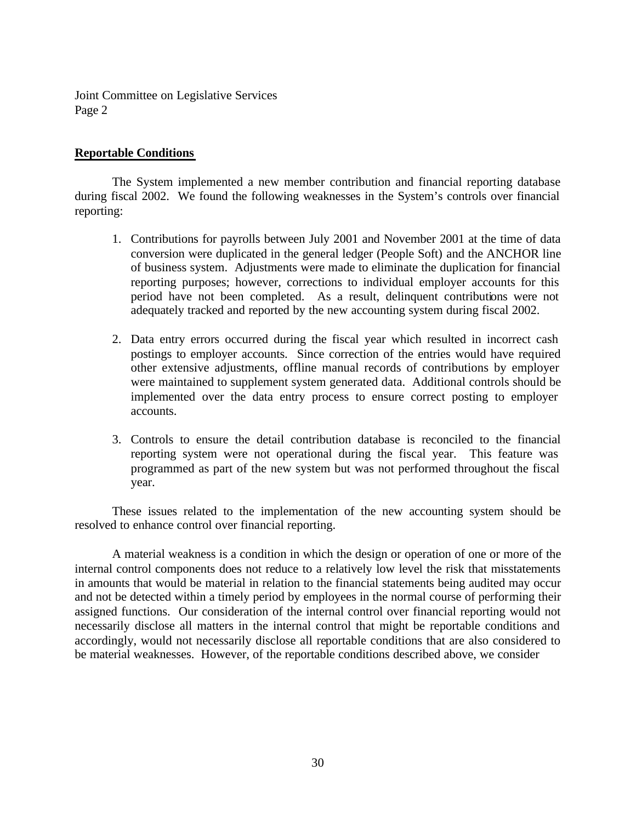Joint Committee on Legislative Services Page 2

### **Reportable Conditions**

The System implemented a new member contribution and financial reporting database during fiscal 2002. We found the following weaknesses in the System's controls over financial reporting:

- 1. Contributions for payrolls between July 2001 and November 2001 at the time of data conversion were duplicated in the general ledger (People Soft) and the ANCHOR line of business system. Adjustments were made to eliminate the duplication for financial reporting purposes; however, corrections to individual employer accounts for this period have not been completed. As a result, delinquent contributions were not adequately tracked and reported by the new accounting system during fiscal 2002.
- 2. Data entry errors occurred during the fiscal year which resulted in incorrect cash postings to employer accounts. Since correction of the entries would have required other extensive adjustments, offline manual records of contributions by employer were maintained to supplement system generated data. Additional controls should be implemented over the data entry process to ensure correct posting to employer accounts.
- 3. Controls to ensure the detail contribution database is reconciled to the financial reporting system were not operational during the fiscal year. This feature was programmed as part of the new system but was not performed throughout the fiscal year.

These issues related to the implementation of the new accounting system should be resolved to enhance control over financial reporting.

A material weakness is a condition in which the design or operation of one or more of the internal control components does not reduce to a relatively low level the risk that misstatements in amounts that would be material in relation to the financial statements being audited may occur and not be detected within a timely period by employees in the normal course of performing their assigned functions. Our consideration of the internal control over financial reporting would not necessarily disclose all matters in the internal control that might be reportable conditions and accordingly, would not necessarily disclose all reportable conditions that are also considered to be material weaknesses. However, of the reportable conditions described above, we consider